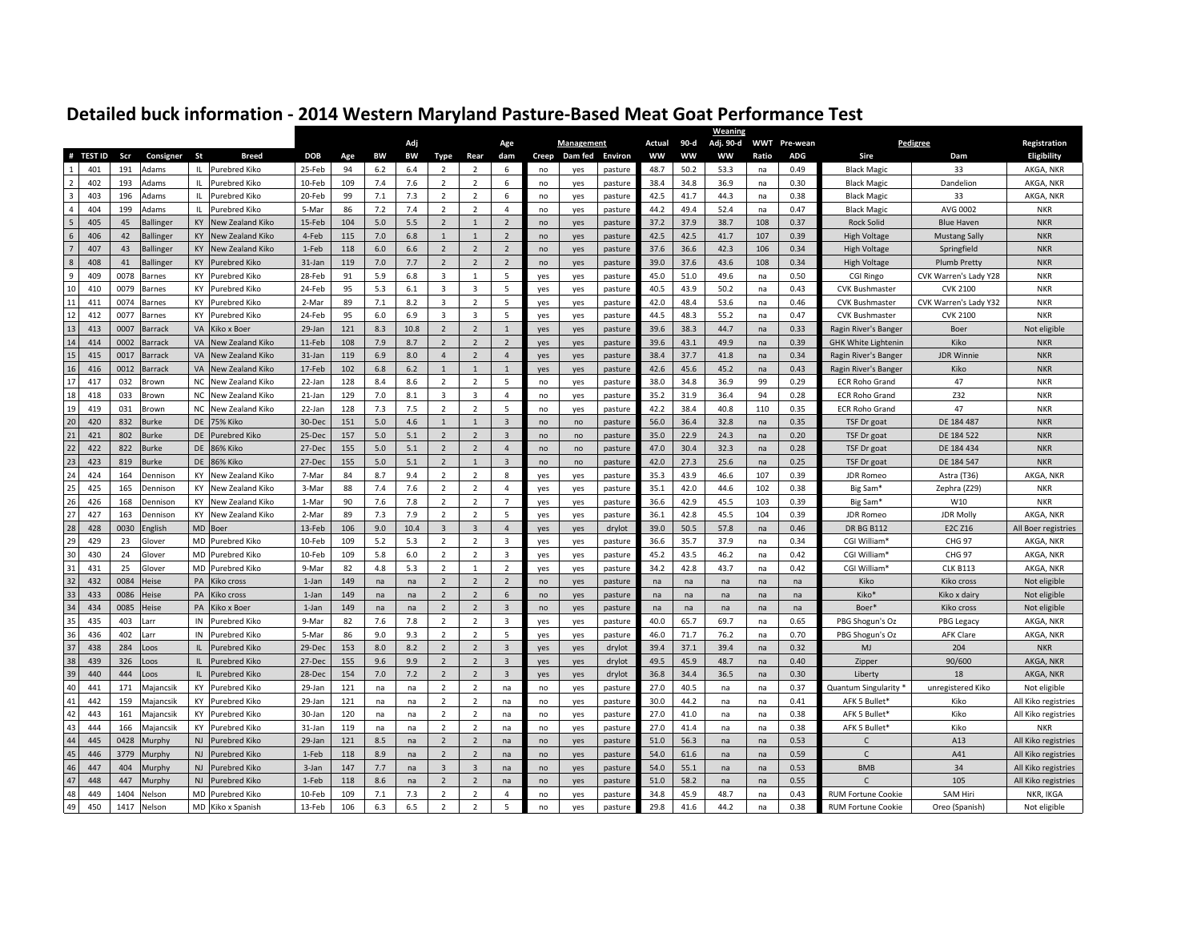| Adj<br>90-d<br>Adj. 90-d<br>WWT Pre-wean<br>Actual<br>Age<br><b>Management</b><br><b>Pedigree</b><br># TEST ID<br>Scr<br>Consigner<br>St<br><b>Breed</b><br><b>ADG</b><br>Sire<br><b>DOB</b><br>Age<br>BW<br>BW<br>Type<br>Rear<br>dam<br>Creep<br>Dam fed<br><b>Environ</b><br><b>WW</b><br>ww<br><b>WW</b><br>Ratio<br>Dam<br>191<br>25-Feb<br>401<br>Adams<br>IL.<br><b>Purebred Kiko</b><br>94<br>6.2<br>6.4<br>$\overline{2}$<br>2<br>48.7<br>50.2<br>53.3<br>0.49<br><b>Black Magic</b><br>33<br>6<br>no<br>yes<br>pasture<br>na<br>$\overline{2}$<br>$\overline{2}$<br>38.4<br>402<br>193<br>Adams<br>Purebred Kiko<br>10-Feb<br>109<br>7.4<br>7.6<br>$\overline{2}$<br>6<br>34.8<br>36.9<br>0.30<br><b>Black Magic</b><br>Dandelion<br>Ш.<br>no<br>yes<br>pasture<br>na<br>$\overline{\mathbf{3}}$<br>403<br>7.3<br>$\overline{2}$<br>6<br>42.5<br>41.7<br>196<br>Adams<br>IL<br>Purebred Kiko<br>20-Feb<br>99<br>7.1<br>$\overline{2}$<br>44.3<br>0.38<br>33<br>no<br>pasture<br>na<br><b>Black Magic</b><br>yes<br>$\overline{4}$<br>404<br>199<br>7.2<br>7.4<br>$\overline{2}$<br>49.4<br>52.4<br>0.47<br>Adams<br>IL.<br>Purebred Kiko<br>5-Mar<br>86<br>$\overline{2}$<br>$\overline{4}$<br>44.2<br><b>Black Magic</b><br>AVG 0002<br><b>NKR</b><br>pasture<br>na<br>no<br>yes<br>$\sqrt{5}$<br>405<br>45<br>KY<br>New Zealand Kiko<br>5.0<br>5.5<br>$\overline{2}$<br>37.2<br>37.9<br>38.7<br>0.37<br><b>Ballinger</b><br>15-Feb<br>104<br>$\overline{2}$<br>$\mathbf{1}$<br>108<br><b>Rock Solid</b><br><b>Blue Haven</b><br><b>NKR</b><br>no<br>yes<br>pasture<br>$\,$ 6 $\,$<br>406<br>42<br><b>Ballinger</b><br><b>KY</b><br>New Zealand Kiko<br>4-Feb<br>115<br>7.0<br>6.8<br>$\mathbf{1}$<br>$\overline{2}$<br>42.5<br>42.5<br>41.7<br>107<br>0.39<br><b>NKR</b><br>1<br>no<br>pasture<br><b>High Voltage</b><br><b>Mustang Sally</b><br>yes<br>$7\phantom{.0}$<br>$\overline{2}$<br>407<br>43<br>KY<br>New Zealand Kiko<br>6.0<br>6.6<br>$\overline{2}$<br>$\overline{2}$<br>37.6<br>36.6<br>42.3<br><b>Ballinger</b><br>1-Feb<br>118<br>106<br>0.34<br><b>High Voltage</b><br>Springfield<br><b>NKR</b><br>n <sub>0</sub><br>yes<br>pasture<br>$\,$ 8 $\,$<br>$\overline{2}$<br>408<br>41<br>7.0<br>7.7<br>$\overline{2}$<br>37.6<br>43.6<br><b>Ballinger</b><br><b>KY</b><br><b>Purebred Kiko</b><br>31-Jan<br>119<br>$\overline{2}$<br>pasture<br>39.0<br>108<br>0.34<br><b>High Voltage</b><br><b>Plumb Pretty</b><br><b>NKR</b><br>no<br>yes<br>9<br>409<br>0078<br>5.9<br>6.8<br>5<br>51.0<br>49.6<br>KY<br>Purebred Kiko<br>28-Feb<br>91<br>3<br>$\mathbf{1}$<br>45.0<br>0.50<br>CVK Warren's Lady Y28<br><b>NKR</b><br>Barnes<br>yes<br>yes<br>pasture<br>na<br>CGI Ringo<br>10<br>$\overline{3}$<br>0079<br>24-Feb<br>5.3<br>6.1<br>5<br>40.5<br>43.9<br>50.2<br>410<br><b>KY</b><br>Purebred Kiko<br>95<br>3<br>0.43<br><b>CVK Bushmaster</b><br><b>CVK 2100</b><br><b>NKR</b><br>Barnes<br>yes<br>yes<br>pasture<br>na<br>$11\,$<br>$\overline{2}$<br>411<br>0074<br>KY<br>Purebred Kiko<br>2-Mar<br>89<br>7.1<br>8.2<br>5<br>42.0<br>48.4<br>53.6<br>0.46<br>CVK Warren's Lady Y32<br><b>NKR</b><br>$\mathbf{3}$<br><b>CVK Bushmaster</b><br>Barnes<br>yes<br>pasture<br>na<br>yes<br>$12\,$<br>$\overline{3}$<br>5<br>412<br>0077<br><b>KY</b><br><b>Purebred Kiko</b><br>24-Feb<br>95<br>6.0<br>6.9<br>$\overline{3}$<br>44.5<br>48.3<br>55.2<br>0.47<br><b>CVK 2100</b><br><b>NKR</b><br><b>Barnes</b><br>yes<br>pasture<br>na<br><b>CVK Bushmaster</b><br>yes<br>13<br>$\overline{2}$<br>413<br>0007<br><b>VA</b><br>Kiko x Boer<br>29-Jan<br>121<br>8.3<br>10.8<br>$\overline{2}$<br>39.6<br>38.3<br>44.7<br>0.33<br>Barrack<br>$\overline{1}$<br>pasture<br>na<br>Ragin River's Banger<br>Boer<br>yes<br>yes<br>14<br>414<br>$\overline{2}$<br>$\overline{2}$<br>43.1<br>0002<br><b>VA</b><br>New Zealand Kiko<br>11-Feb<br>108<br>7.9<br>8.7<br>$\overline{2}$<br>39.6<br>49.9<br>0.39<br>Kiko<br><b>NKR</b><br><b>Barrack</b><br>pasture<br>na<br><b>GHK White Lightenin</b><br>yes<br>yes<br>${\bf 15}$<br>0017<br>6.9<br>$\overline{2}$<br>37.7<br>415<br>VA<br>New Zealand Kiko<br>31-Jan<br>119<br>8.0<br>$\overline{4}$<br>38.4<br>41.8<br>0.34<br><b>JDR Winnie</b><br>Barrack<br>$\overline{4}$<br>na<br>Ragin River's Banger<br><b>NKR</b><br>yes<br>yes<br>pasture<br>$16\,$<br>416<br>0012<br>42.6<br>45.2<br>VA<br>New Zealand Kiko<br>17-Feb<br>102<br>6.8<br>6.2<br>$\mathbf{1}$<br>$\mathbf{1}$<br>45.6<br>0.43<br>Kiko<br><b>NKR</b><br>Barrack<br>$\mathbf{1}$<br>na<br>Ragin River's Banger<br>yes<br>yes<br>pasture<br>$17\,$<br>417<br><b>NC</b><br>128<br>$\overline{2}$<br>5<br>34.8<br>36.9<br>99<br>0.29<br>032<br><b>Brown</b><br>New Zealand Kiko<br>22-Jan<br>8.4<br>8.6<br>$\overline{2}$<br>38.0<br><b>ECR Roho Grand</b><br>47<br><b>NKR</b><br>no<br>pasture<br>yes<br>18<br>8.1<br>3<br>31.9<br>Z32<br>418<br>033<br><b>NC</b><br>New Zealand Kiko<br>21-Jan<br>129<br>7.0<br>3<br>$\overline{4}$<br>35.2<br>36.4<br>94<br>0.28<br><b>NKR</b><br>Brown<br>no<br>yes<br>pasture<br><b>ECR Roho Grand</b><br>19<br>$\overline{2}$<br>031<br>7.5<br>38.4<br>419<br>Brown<br>NC<br>New Zealand Kiko<br>22-Jan<br>128<br>7.3<br>$\overline{2}$<br>5<br>42.2<br>40.8<br>110<br>0.35<br><b>ECR Roho Grand</b><br>47<br><b>NKR</b><br>no<br>yes<br>pasture<br>20<br>420<br>832<br>DE<br>151<br>5.0<br>4.6<br>$\overline{3}$<br>36.4<br>32.8<br>Burke<br><b>75% Kiko</b><br>30-Dec<br>$\mathbf{1}$<br>56.0<br>0.35<br>DE 184 487<br><b>NKR</b><br>$\mathbf{1}$<br>no<br>pasture<br>na<br>TSF Dr goat<br>no<br>$21\,$<br>421<br>802<br>5.0<br>$\overline{2}$<br>22.9<br>24.3<br><b>Burke</b><br>DE<br>Purebred Kiko<br>25-Dec<br>157<br>5.1<br>$\overline{3}$<br>35.0<br>DE 184 522<br><b>NKR</b><br>$\overline{2}$<br>no<br>no<br>pasture<br>na<br>0.20<br>TSF Dr goat<br>$22\,$<br>422<br>822<br>DE<br>86% Kiko<br>27-Dec<br>155<br>5.0<br>5.1<br>$\overline{2}$<br>47.0<br>30.4<br>32.3<br><b>NKR</b><br>Burke<br>$\overline{2}$<br>$\overline{4}$<br>0.28<br>DE 184 434<br>pasture<br>na<br>TSF Dr goat<br>no<br>no<br>23<br>423<br>819<br><b>Burke</b><br>DE<br>86% Kiko<br>27-Dec<br>155<br>5.0<br>5.1<br>$\overline{2}$<br>$\mathbf{1}$<br>$\overline{\mathbf{3}}$<br>42.0<br>27.3<br>25.6<br><b>NKR</b><br>pasture<br>0.25<br>TSF Dr goat<br>DE 184 547<br>no<br>na<br>no<br>24<br>424<br>9.4<br>$\overline{2}$<br>35.3<br>43.9<br>164<br><b>Dennison</b><br>KY<br>New Zealand Kiko<br>7-Mar<br>84<br>8.7<br>$\overline{2}$<br>8<br>46.6<br>107<br>0.39<br><b>JDR Romeo</b><br>Astra (T36)<br>pasture<br>yes<br>yes<br>25<br>$\overline{2}$<br>425<br>88<br>7.4<br>7.6<br>$\overline{2}$<br>35.1<br>42.0<br>44.6<br>165<br><b>Dennison</b><br>KY<br>New Zealand Kiko<br>3-Mar<br>$\overline{a}$<br>pasture<br>102<br>0.38<br>Big Sam <sup>®</sup><br>Zephra (Z29)<br><b>NKR</b><br>yes<br>yes<br>26<br>$\overline{7}$<br>426<br>168<br>KY<br>1-Mar<br>90<br>7.6<br>7.8<br>$\overline{2}$<br>$\overline{2}$<br>36.6<br>42.9<br>45.5<br>103<br>0.39<br>New Zealand Kiko<br>W10<br><b>NKR</b><br>Dennison<br>yes<br>yes<br>pasture<br>Big Sam <sup>®</sup><br>27<br>427<br>163<br>KY<br>New Zealand Kiko<br>7.3<br>7.9<br>$\overline{2}$<br>$\overline{2}$<br>5<br>36.1<br>42.8<br>45.5<br>0.39<br><b>Dennison</b><br>2-Mar<br>89<br>104<br><b>JDR Romeo</b><br><b>JDR Molly</b><br>yes<br>yes<br>pasture<br>28<br>MD<br>428<br>0030<br>13-Feb<br>106<br>9.0<br>10.4<br>$\overline{3}$<br>$\overline{3}$<br>$\overline{4}$<br>39.0<br>50.5<br>57.8<br>0.46<br><b>DR BG B112</b><br>E2C Z16<br>English<br>Boer<br>drylot<br>yes<br>yes<br>na<br>29<br>429<br>23<br>Glover<br><b>MD</b><br><b>Purebred Kiko</b><br>10-Feb<br>109<br>5.2<br>5.3<br>$\overline{2}$<br>$\overline{2}$<br>$\overline{3}$<br>36.6<br>35.7<br>37.9<br>yes<br>pasture<br>na<br>0.34<br>CGI William*<br><b>CHG 97</b><br>yes<br>30<br>$\overline{2}$<br>430<br>24<br>Glover<br><b>MD</b><br><b>Purebred Kiko</b><br>10-Feb<br>109<br>5.8<br>6.0<br>$\overline{2}$<br>$\overline{3}$<br>45.2<br>43.5<br>46.2<br>0.42<br>CGI William*<br><b>CHG 97</b><br>yes<br>yes<br>pasture<br>na<br>31<br>25<br>5.3<br>$\overline{2}$<br>431<br><b>MD</b><br>82<br>4.8<br>$\mathbf{1}$<br>34.2<br>42.8<br>43.7<br>Glover<br>Purebred Kiko<br>9-Mar<br>$\overline{2}$<br>pasture<br>na<br>0.42<br>CGI William*<br><b>CLK B113</b><br>yes<br>yes<br>$32\,$<br>432<br>0084<br>PA<br>$\overline{2}$<br>Heise<br>Kiko cross<br>$1$ -Jan<br>149<br>na<br>na<br>$\overline{2}$<br>$\overline{2}$<br>pasture<br>na<br>Kiko<br>Kiko cross<br>no<br>yes<br>na<br>na<br>na<br>na<br>33<br>433<br>$\overline{2}$<br>0086<br>Kiko cross<br>$\overline{2}$<br>6<br>Kiko*<br>Heise<br>PA<br>1-Jan<br>149<br>Kiko x dairy<br>na<br>na<br>no<br>yes<br>pasture<br>na<br>na<br>na<br>na<br>na<br>$34\,$<br>$\overline{2}$<br>$\overline{2}$<br>434<br>0085<br>PA<br>Kiko x Boer<br>$1-Jan$<br>149<br>$\overline{\mathbf{3}}$<br>Boer*<br>Heise<br>na<br>na<br>no<br>pasture<br>na<br>na<br>na<br>Kiko cross<br>na<br>na<br>yes<br>35<br>$\overline{2}$<br>435<br>403<br>IN<br>Purebred Kiko<br>9-Mar<br>82<br>7.6<br>7.8<br>$\overline{2}$<br>$\overline{3}$<br>40.0<br>65.7<br>69.7<br>0.65<br>PBG Shogun's Oz<br>pasture<br>na<br>PBG Legacy<br>arr<br>yes<br>yes<br>36<br>$\overline{2}$<br>5<br>436<br>402<br>IN<br>Purebred Kiko<br>5-Mar<br>86<br>9.0<br>9.3<br>$\overline{2}$<br>46.0<br>71.7<br>76.2<br>0.70<br>PBG Shogun's Oz<br><b>AFK Clare</b><br>larr<br>yes<br>yes<br>pasture<br>na<br>37<br>$\overline{2}$<br>438<br>284<br>8.0<br>8.2<br>$\overline{2}$<br>$\overline{\mathbf{3}}$<br>39.4<br>37.1<br>39.4<br>0.32<br>204<br>$\mathsf{L}$<br>29-Dec<br>153<br>MJ<br><b>NKR</b><br>.oos<br><b>Purebred Kiko</b><br>drylot<br>na<br>yes<br>yes<br>38<br>439<br>27-Dec<br>$\overline{2}$<br>45.9<br>48.7<br>326<br>IL.<br><b>Purebred Kiko</b><br>155<br>9.6<br>9.9<br>$\overline{2}$<br>$\overline{\mathbf{3}}$<br>49.5<br>0.40<br>90/600<br>.oos<br>drylot<br>na<br>Zipper<br>yes<br>yes<br>39<br>440<br>444<br>28-Dec<br>154<br>7.0<br>7.2<br>$\overline{2}$<br>$\overline{2}$<br>$\overline{\mathbf{3}}$<br>36.8<br>34.4<br>36.5<br>0.30<br>IL.<br><b>Purebred Kiko</b><br>drylot<br>Liberty<br>18<br>.oos<br>yes<br>na<br>yes<br>40<br>441<br>171<br><b>KY</b><br>$\overline{2}$<br>$\overline{2}$<br>27.0<br>40.5<br>Majancsik<br>Purebred Kiko<br>29-Jan<br>121<br>na<br>na<br>na<br>pasture<br>0.37<br>Quantum Singularity *<br>unregistered Kiko<br>no<br>yes<br>na<br>na<br>41<br>$\overline{2}$<br>442<br>159<br>Majancsik<br><b>KY</b><br><b>Purebred Kiko</b><br>29-Jan<br>121<br>$\overline{2}$<br>30.0<br>44.2<br>0.41<br>AFK 5 Bullet*<br>na<br>na<br>na<br>pasture<br>na<br>na<br>Kiko<br>no<br>yes<br>42<br>161<br>KY<br>$\overline{2}$<br>443<br>Majancsik<br>Purebred Kiko<br>30-Jan<br>120<br>$\overline{2}$<br>27.0<br>41.0<br>0.38<br>AFK 5 Bullet*<br>Kiko<br>na<br>na<br>na<br>no<br>yes<br>pasture<br>na<br>na<br>43<br>$\overline{2}$<br>444<br>166<br>KY<br>$\overline{2}$<br>27.0<br>41.4<br>Kiko<br>Majancsik<br>Purebred Kiko<br>31-Jan<br>119<br>0.38<br>AFK 5 Bullet*<br>na<br>na<br>na<br>no<br>yes<br>pasture<br>na<br>na<br><b>NKR</b><br>$44\,$<br>445<br>0428<br>8.5<br>$\overline{2}$<br>56.3<br>$\mathsf{C}$<br>A13<br>Murphy<br><b>Purebred Kiko</b><br>29-Jan<br>121<br>$\overline{2}$<br>51.0<br>0.53<br><b>NJ</b><br>na<br>na<br>no<br>yes<br>pasture<br>na<br>na<br>45<br>446<br>3779<br><b>Purebred Kiko</b><br>1-Feb<br>8.9<br>$\overline{2}$<br>54.0<br>61.6<br>0.59<br>A41<br>Murphy<br><b>NJ</b><br>118<br>na<br>$\overline{2}$<br>pasture<br>$\Gamma$<br>na<br>no<br>na<br>na<br>yes<br>$46\,$<br>447<br>404<br><b>Purebred Kiko</b><br>7.7<br>$\overline{3}$<br>54.0<br>55.1<br><b>BMB</b><br>34<br>Murphy<br><b>NJ</b><br>3-Jan<br>147<br>$\overline{3}$<br>0.53<br>na<br>na<br>pasture<br>na<br>na<br>no<br>yes |  |  |  |  |  |  |  |  |  | <u>Weaning</u> |  |  |                     |
|-----------------------------------------------------------------------------------------------------------------------------------------------------------------------------------------------------------------------------------------------------------------------------------------------------------------------------------------------------------------------------------------------------------------------------------------------------------------------------------------------------------------------------------------------------------------------------------------------------------------------------------------------------------------------------------------------------------------------------------------------------------------------------------------------------------------------------------------------------------------------------------------------------------------------------------------------------------------------------------------------------------------------------------------------------------------------------------------------------------------------------------------------------------------------------------------------------------------------------------------------------------------------------------------------------------------------------------------------------------------------------------------------------------------------------------------------------------------------------------------------------------------------------------------------------------------------------------------------------------------------------------------------------------------------------------------------------------------------------------------------------------------------------------------------------------------------------------------------------------------------------------------------------------------------------------------------------------------------------------------------------------------------------------------------------------------------------------------------------------------------------------------------------------------------------------------------------------------------------------------------------------------------------------------------------------------------------------------------------------------------------------------------------------------------------------------------------------------------------------------------------------------------------------------------------------------------------------------------------------------------------------------------------------------------------------------------------------------------------------------------------------------------------------------------------------------------------------------------------------------------------------------------------------------------------------------------------------------------------------------------------------------------------------------------------------------------------------------------------------------------------------------------------------------------------------------------------------------------------------------------------------------------------------------------------------------------------------------------------------------------------------------------------------------------------------------------------------------------------------------------------------------------------------------------------------------------------------------------------------------------------------------------------------------------------------------------------------------------------------------------------------------------------------------------------------------------------------------------------------------------------------------------------------------------------------------------------------------------------------------------------------------------------------------------------------------------------------------------------------------------------------------------------------------------------------------------------------------------------------------------------------------------------------------------------------------------------------------------------------------------------------------------------------------------------------------------------------------------------------------------------------------------------------------------------------------------------------------------------------------------------------------------------------------------------------------------------------------------------------------------------------------------------------------------------------------------------------------------------------------------------------------------------------------------------------------------------------------------------------------------------------------------------------------------------------------------------------------------------------------------------------------------------------------------------------------------------------------------------------------------------------------------------------------------------------------------------------------------------------------------------------------------------------------------------------------------------------------------------------------------------------------------------------------------------------------------------------------------------------------------------------------------------------------------------------------------------------------------------------------------------------------------------------------------------------------------------------------------------------------------------------------------------------------------------------------------------------------------------------------------------------------------------------------------------------------------------------------------------------------------------------------------------------------------------------------------------------------------------------------------------------------------------------------------------------------------------------------------------------------------------------------------------------------------------------------------------------------------------------------------------------------------------------------------------------------------------------------------------------------------------------------------------------------------------------------------------------------------------------------------------------------------------------------------------------------------------------------------------------------------------------------------------------------------------------------------------------------------------------------------------------------------------------------------------------------------------------------------------------------------------------------------------------------------------------------------------------------------------------------------------------------------------------------------------------------------------------------------------------------------------------------------------------------------------------------------------------------------------------------------------------------------------------------------------------------------------------------------------------------------------------------------------------------------------------------------------------------------------------------------------------------------------------------------------------------------------------------------------------------------------------------------------------------------------------------------------------------------------------------------------------------------------------------------------------------------------------------------------------------------------------------------------------------------------------------------------------------------------------------------------------------------------------------------------------------------------------------------------------------------------------------------------------------------------------------------------------------------------------------------------------------------------------------------------------------------------------------------------------------------------------------------------------------------------------------------------------------------------------------------------------------------------------------------------------------------------------------------------------------------------------------------------------------------------------------------------------------------------------------------------------------------------------------------------------------------------------------------------------------------------------------------------------------------------------------------------------------------------------------------------------------------------------------------------------------------------------------------------------------------------------------------------------------------------------------------------------------------------------------------------------------------------------------------------------------------------------------------------------------------------------------------------------------------------------------------------------------------------------------------------------------------------------------------------------------------------------------------------------------------------------------------------------------------------------------------------------------------------------------------------------------------------------------------------------------------------------------------------------------------------------------------------------------------------------------------------------------------------------------------------------------------------------------------------------------------------------------------------------------------------------------------------------------------------------------------------------------------------------------------------------------------------------------------------------------------------------------------------------------------------------------------------------------------------------------------------------------------------------------------------------------------------------------------------------------------------------------------------------------------------------------------------------------------------------------------------------------------------------------------------------------------------------------------------------------------------------------------------------------------------------------------------------------------------------------------------------------------------------------------------------------------------------------------------------------------------------------------------------------------------------------------------------------------------------------------------------------------------------------------------------------------------------------------------------------------------------------------------------------------------------------------------------------------------------------------------------------------------------------------------------------------------------------------------------------------------------------------------------------------------------------------|--|--|--|--|--|--|--|--|--|----------------|--|--|---------------------|
|                                                                                                                                                                                                                                                                                                                                                                                                                                                                                                                                                                                                                                                                                                                                                                                                                                                                                                                                                                                                                                                                                                                                                                                                                                                                                                                                                                                                                                                                                                                                                                                                                                                                                                                                                                                                                                                                                                                                                                                                                                                                                                                                                                                                                                                                                                                                                                                                                                                                                                                                                                                                                                                                                                                                                                                                                                                                                                                                                                                                                                                                                                                                                                                                                                                                                                                                                                                                                                                                                                                                                                                                                                                                                                                                                                                                                                                                                                                                                                                                                                                                                                                                                                                                                                                                                                                                                                                                                                                                                                                                                                                                                                                                                                                                                                                                                                                                                                                                                                                                                                                                                                                                                                                                                                                                                                                                                                                                                                                                                                                                                                                                                                                                                                                                                                                                                                                                                                                                                                                                                                                                                                                                                                                                                                                                                                                                                                                                                                                                                                                                                                                                                                                                                                                                                                                                                                                                                                                                                                                                                                                                                                                                                                                                                                                                                                                                                                                                                                                                                                                                                                                                                                                                                                                                                                                                                                                                                                                                                                                                                                                                                                                                                                                                                                                                                                                                                                                                                                                                                                                                                                                                                                                                                                                                                                                                                                                                                                                                                                                                                                                                                                                                                                                                                                                                                                                                                                                                                                                                                                                                                                                                                                                                                                                                                                                                                                                                                                                                                                                                                                                                                                                                                                                                                                                                                                                                                                                                                                                                                                                                                                                                                                                                                                                                                                                                                                                                                                                                                                                                                                                                                                                                                                                                                                                                                                                                                                                                                                                                                                                                                                                                                                                                                                                                                                                                                                                                                               |  |  |  |  |  |  |  |  |  |                |  |  | Registration        |
|                                                                                                                                                                                                                                                                                                                                                                                                                                                                                                                                                                                                                                                                                                                                                                                                                                                                                                                                                                                                                                                                                                                                                                                                                                                                                                                                                                                                                                                                                                                                                                                                                                                                                                                                                                                                                                                                                                                                                                                                                                                                                                                                                                                                                                                                                                                                                                                                                                                                                                                                                                                                                                                                                                                                                                                                                                                                                                                                                                                                                                                                                                                                                                                                                                                                                                                                                                                                                                                                                                                                                                                                                                                                                                                                                                                                                                                                                                                                                                                                                                                                                                                                                                                                                                                                                                                                                                                                                                                                                                                                                                                                                                                                                                                                                                                                                                                                                                                                                                                                                                                                                                                                                                                                                                                                                                                                                                                                                                                                                                                                                                                                                                                                                                                                                                                                                                                                                                                                                                                                                                                                                                                                                                                                                                                                                                                                                                                                                                                                                                                                                                                                                                                                                                                                                                                                                                                                                                                                                                                                                                                                                                                                                                                                                                                                                                                                                                                                                                                                                                                                                                                                                                                                                                                                                                                                                                                                                                                                                                                                                                                                                                                                                                                                                                                                                                                                                                                                                                                                                                                                                                                                                                                                                                                                                                                                                                                                                                                                                                                                                                                                                                                                                                                                                                                                                                                                                                                                                                                                                                                                                                                                                                                                                                                                                                                                                                                                                                                                                                                                                                                                                                                                                                                                                                                                                                                                                                                                                                                                                                                                                                                                                                                                                                                                                                                                                                                                                                                                                                                                                                                                                                                                                                                                                                                                                                                                                                                                                                                                                                                                                                                                                                                                                                                                                                                                                                                                                               |  |  |  |  |  |  |  |  |  |                |  |  | Eligibility         |
|                                                                                                                                                                                                                                                                                                                                                                                                                                                                                                                                                                                                                                                                                                                                                                                                                                                                                                                                                                                                                                                                                                                                                                                                                                                                                                                                                                                                                                                                                                                                                                                                                                                                                                                                                                                                                                                                                                                                                                                                                                                                                                                                                                                                                                                                                                                                                                                                                                                                                                                                                                                                                                                                                                                                                                                                                                                                                                                                                                                                                                                                                                                                                                                                                                                                                                                                                                                                                                                                                                                                                                                                                                                                                                                                                                                                                                                                                                                                                                                                                                                                                                                                                                                                                                                                                                                                                                                                                                                                                                                                                                                                                                                                                                                                                                                                                                                                                                                                                                                                                                                                                                                                                                                                                                                                                                                                                                                                                                                                                                                                                                                                                                                                                                                                                                                                                                                                                                                                                                                                                                                                                                                                                                                                                                                                                                                                                                                                                                                                                                                                                                                                                                                                                                                                                                                                                                                                                                                                                                                                                                                                                                                                                                                                                                                                                                                                                                                                                                                                                                                                                                                                                                                                                                                                                                                                                                                                                                                                                                                                                                                                                                                                                                                                                                                                                                                                                                                                                                                                                                                                                                                                                                                                                                                                                                                                                                                                                                                                                                                                                                                                                                                                                                                                                                                                                                                                                                                                                                                                                                                                                                                                                                                                                                                                                                                                                                                                                                                                                                                                                                                                                                                                                                                                                                                                                                                                                                                                                                                                                                                                                                                                                                                                                                                                                                                                                                                                                                                                                                                                                                                                                                                                                                                                                                                                                                                                                                                                                                                                                                                                                                                                                                                                                                                                                                                                                                                                                               |  |  |  |  |  |  |  |  |  |                |  |  | AKGA, NKR           |
|                                                                                                                                                                                                                                                                                                                                                                                                                                                                                                                                                                                                                                                                                                                                                                                                                                                                                                                                                                                                                                                                                                                                                                                                                                                                                                                                                                                                                                                                                                                                                                                                                                                                                                                                                                                                                                                                                                                                                                                                                                                                                                                                                                                                                                                                                                                                                                                                                                                                                                                                                                                                                                                                                                                                                                                                                                                                                                                                                                                                                                                                                                                                                                                                                                                                                                                                                                                                                                                                                                                                                                                                                                                                                                                                                                                                                                                                                                                                                                                                                                                                                                                                                                                                                                                                                                                                                                                                                                                                                                                                                                                                                                                                                                                                                                                                                                                                                                                                                                                                                                                                                                                                                                                                                                                                                                                                                                                                                                                                                                                                                                                                                                                                                                                                                                                                                                                                                                                                                                                                                                                                                                                                                                                                                                                                                                                                                                                                                                                                                                                                                                                                                                                                                                                                                                                                                                                                                                                                                                                                                                                                                                                                                                                                                                                                                                                                                                                                                                                                                                                                                                                                                                                                                                                                                                                                                                                                                                                                                                                                                                                                                                                                                                                                                                                                                                                                                                                                                                                                                                                                                                                                                                                                                                                                                                                                                                                                                                                                                                                                                                                                                                                                                                                                                                                                                                                                                                                                                                                                                                                                                                                                                                                                                                                                                                                                                                                                                                                                                                                                                                                                                                                                                                                                                                                                                                                                                                                                                                                                                                                                                                                                                                                                                                                                                                                                                                                                                                                                                                                                                                                                                                                                                                                                                                                                                                                                                                                                                                                                                                                                                                                                                                                                                                                                                                                                                                                                                               |  |  |  |  |  |  |  |  |  |                |  |  | AKGA, NKR           |
|                                                                                                                                                                                                                                                                                                                                                                                                                                                                                                                                                                                                                                                                                                                                                                                                                                                                                                                                                                                                                                                                                                                                                                                                                                                                                                                                                                                                                                                                                                                                                                                                                                                                                                                                                                                                                                                                                                                                                                                                                                                                                                                                                                                                                                                                                                                                                                                                                                                                                                                                                                                                                                                                                                                                                                                                                                                                                                                                                                                                                                                                                                                                                                                                                                                                                                                                                                                                                                                                                                                                                                                                                                                                                                                                                                                                                                                                                                                                                                                                                                                                                                                                                                                                                                                                                                                                                                                                                                                                                                                                                                                                                                                                                                                                                                                                                                                                                                                                                                                                                                                                                                                                                                                                                                                                                                                                                                                                                                                                                                                                                                                                                                                                                                                                                                                                                                                                                                                                                                                                                                                                                                                                                                                                                                                                                                                                                                                                                                                                                                                                                                                                                                                                                                                                                                                                                                                                                                                                                                                                                                                                                                                                                                                                                                                                                                                                                                                                                                                                                                                                                                                                                                                                                                                                                                                                                                                                                                                                                                                                                                                                                                                                                                                                                                                                                                                                                                                                                                                                                                                                                                                                                                                                                                                                                                                                                                                                                                                                                                                                                                                                                                                                                                                                                                                                                                                                                                                                                                                                                                                                                                                                                                                                                                                                                                                                                                                                                                                                                                                                                                                                                                                                                                                                                                                                                                                                                                                                                                                                                                                                                                                                                                                                                                                                                                                                                                                                                                                                                                                                                                                                                                                                                                                                                                                                                                                                                                                                                                                                                                                                                                                                                                                                                                                                                                                                                                                                                               |  |  |  |  |  |  |  |  |  |                |  |  | AKGA, NKR           |
|                                                                                                                                                                                                                                                                                                                                                                                                                                                                                                                                                                                                                                                                                                                                                                                                                                                                                                                                                                                                                                                                                                                                                                                                                                                                                                                                                                                                                                                                                                                                                                                                                                                                                                                                                                                                                                                                                                                                                                                                                                                                                                                                                                                                                                                                                                                                                                                                                                                                                                                                                                                                                                                                                                                                                                                                                                                                                                                                                                                                                                                                                                                                                                                                                                                                                                                                                                                                                                                                                                                                                                                                                                                                                                                                                                                                                                                                                                                                                                                                                                                                                                                                                                                                                                                                                                                                                                                                                                                                                                                                                                                                                                                                                                                                                                                                                                                                                                                                                                                                                                                                                                                                                                                                                                                                                                                                                                                                                                                                                                                                                                                                                                                                                                                                                                                                                                                                                                                                                                                                                                                                                                                                                                                                                                                                                                                                                                                                                                                                                                                                                                                                                                                                                                                                                                                                                                                                                                                                                                                                                                                                                                                                                                                                                                                                                                                                                                                                                                                                                                                                                                                                                                                                                                                                                                                                                                                                                                                                                                                                                                                                                                                                                                                                                                                                                                                                                                                                                                                                                                                                                                                                                                                                                                                                                                                                                                                                                                                                                                                                                                                                                                                                                                                                                                                                                                                                                                                                                                                                                                                                                                                                                                                                                                                                                                                                                                                                                                                                                                                                                                                                                                                                                                                                                                                                                                                                                                                                                                                                                                                                                                                                                                                                                                                                                                                                                                                                                                                                                                                                                                                                                                                                                                                                                                                                                                                                                                                                                                                                                                                                                                                                                                                                                                                                                                                                                                                                                               |  |  |  |  |  |  |  |  |  |                |  |  |                     |
|                                                                                                                                                                                                                                                                                                                                                                                                                                                                                                                                                                                                                                                                                                                                                                                                                                                                                                                                                                                                                                                                                                                                                                                                                                                                                                                                                                                                                                                                                                                                                                                                                                                                                                                                                                                                                                                                                                                                                                                                                                                                                                                                                                                                                                                                                                                                                                                                                                                                                                                                                                                                                                                                                                                                                                                                                                                                                                                                                                                                                                                                                                                                                                                                                                                                                                                                                                                                                                                                                                                                                                                                                                                                                                                                                                                                                                                                                                                                                                                                                                                                                                                                                                                                                                                                                                                                                                                                                                                                                                                                                                                                                                                                                                                                                                                                                                                                                                                                                                                                                                                                                                                                                                                                                                                                                                                                                                                                                                                                                                                                                                                                                                                                                                                                                                                                                                                                                                                                                                                                                                                                                                                                                                                                                                                                                                                                                                                                                                                                                                                                                                                                                                                                                                                                                                                                                                                                                                                                                                                                                                                                                                                                                                                                                                                                                                                                                                                                                                                                                                                                                                                                                                                                                                                                                                                                                                                                                                                                                                                                                                                                                                                                                                                                                                                                                                                                                                                                                                                                                                                                                                                                                                                                                                                                                                                                                                                                                                                                                                                                                                                                                                                                                                                                                                                                                                                                                                                                                                                                                                                                                                                                                                                                                                                                                                                                                                                                                                                                                                                                                                                                                                                                                                                                                                                                                                                                                                                                                                                                                                                                                                                                                                                                                                                                                                                                                                                                                                                                                                                                                                                                                                                                                                                                                                                                                                                                                                                                                                                                                                                                                                                                                                                                                                                                                                                                                                                                                               |  |  |  |  |  |  |  |  |  |                |  |  |                     |
|                                                                                                                                                                                                                                                                                                                                                                                                                                                                                                                                                                                                                                                                                                                                                                                                                                                                                                                                                                                                                                                                                                                                                                                                                                                                                                                                                                                                                                                                                                                                                                                                                                                                                                                                                                                                                                                                                                                                                                                                                                                                                                                                                                                                                                                                                                                                                                                                                                                                                                                                                                                                                                                                                                                                                                                                                                                                                                                                                                                                                                                                                                                                                                                                                                                                                                                                                                                                                                                                                                                                                                                                                                                                                                                                                                                                                                                                                                                                                                                                                                                                                                                                                                                                                                                                                                                                                                                                                                                                                                                                                                                                                                                                                                                                                                                                                                                                                                                                                                                                                                                                                                                                                                                                                                                                                                                                                                                                                                                                                                                                                                                                                                                                                                                                                                                                                                                                                                                                                                                                                                                                                                                                                                                                                                                                                                                                                                                                                                                                                                                                                                                                                                                                                                                                                                                                                                                                                                                                                                                                                                                                                                                                                                                                                                                                                                                                                                                                                                                                                                                                                                                                                                                                                                                                                                                                                                                                                                                                                                                                                                                                                                                                                                                                                                                                                                                                                                                                                                                                                                                                                                                                                                                                                                                                                                                                                                                                                                                                                                                                                                                                                                                                                                                                                                                                                                                                                                                                                                                                                                                                                                                                                                                                                                                                                                                                                                                                                                                                                                                                                                                                                                                                                                                                                                                                                                                                                                                                                                                                                                                                                                                                                                                                                                                                                                                                                                                                                                                                                                                                                                                                                                                                                                                                                                                                                                                                                                                                                                                                                                                                                                                                                                                                                                                                                                                                                                                                                               |  |  |  |  |  |  |  |  |  |                |  |  |                     |
|                                                                                                                                                                                                                                                                                                                                                                                                                                                                                                                                                                                                                                                                                                                                                                                                                                                                                                                                                                                                                                                                                                                                                                                                                                                                                                                                                                                                                                                                                                                                                                                                                                                                                                                                                                                                                                                                                                                                                                                                                                                                                                                                                                                                                                                                                                                                                                                                                                                                                                                                                                                                                                                                                                                                                                                                                                                                                                                                                                                                                                                                                                                                                                                                                                                                                                                                                                                                                                                                                                                                                                                                                                                                                                                                                                                                                                                                                                                                                                                                                                                                                                                                                                                                                                                                                                                                                                                                                                                                                                                                                                                                                                                                                                                                                                                                                                                                                                                                                                                                                                                                                                                                                                                                                                                                                                                                                                                                                                                                                                                                                                                                                                                                                                                                                                                                                                                                                                                                                                                                                                                                                                                                                                                                                                                                                                                                                                                                                                                                                                                                                                                                                                                                                                                                                                                                                                                                                                                                                                                                                                                                                                                                                                                                                                                                                                                                                                                                                                                                                                                                                                                                                                                                                                                                                                                                                                                                                                                                                                                                                                                                                                                                                                                                                                                                                                                                                                                                                                                                                                                                                                                                                                                                                                                                                                                                                                                                                                                                                                                                                                                                                                                                                                                                                                                                                                                                                                                                                                                                                                                                                                                                                                                                                                                                                                                                                                                                                                                                                                                                                                                                                                                                                                                                                                                                                                                                                                                                                                                                                                                                                                                                                                                                                                                                                                                                                                                                                                                                                                                                                                                                                                                                                                                                                                                                                                                                                                                                                                                                                                                                                                                                                                                                                                                                                                                                                                                                                               |  |  |  |  |  |  |  |  |  |                |  |  |                     |
|                                                                                                                                                                                                                                                                                                                                                                                                                                                                                                                                                                                                                                                                                                                                                                                                                                                                                                                                                                                                                                                                                                                                                                                                                                                                                                                                                                                                                                                                                                                                                                                                                                                                                                                                                                                                                                                                                                                                                                                                                                                                                                                                                                                                                                                                                                                                                                                                                                                                                                                                                                                                                                                                                                                                                                                                                                                                                                                                                                                                                                                                                                                                                                                                                                                                                                                                                                                                                                                                                                                                                                                                                                                                                                                                                                                                                                                                                                                                                                                                                                                                                                                                                                                                                                                                                                                                                                                                                                                                                                                                                                                                                                                                                                                                                                                                                                                                                                                                                                                                                                                                                                                                                                                                                                                                                                                                                                                                                                                                                                                                                                                                                                                                                                                                                                                                                                                                                                                                                                                                                                                                                                                                                                                                                                                                                                                                                                                                                                                                                                                                                                                                                                                                                                                                                                                                                                                                                                                                                                                                                                                                                                                                                                                                                                                                                                                                                                                                                                                                                                                                                                                                                                                                                                                                                                                                                                                                                                                                                                                                                                                                                                                                                                                                                                                                                                                                                                                                                                                                                                                                                                                                                                                                                                                                                                                                                                                                                                                                                                                                                                                                                                                                                                                                                                                                                                                                                                                                                                                                                                                                                                                                                                                                                                                                                                                                                                                                                                                                                                                                                                                                                                                                                                                                                                                                                                                                                                                                                                                                                                                                                                                                                                                                                                                                                                                                                                                                                                                                                                                                                                                                                                                                                                                                                                                                                                                                                                                                                                                                                                                                                                                                                                                                                                                                                                                                                                                                                               |  |  |  |  |  |  |  |  |  |                |  |  |                     |
|                                                                                                                                                                                                                                                                                                                                                                                                                                                                                                                                                                                                                                                                                                                                                                                                                                                                                                                                                                                                                                                                                                                                                                                                                                                                                                                                                                                                                                                                                                                                                                                                                                                                                                                                                                                                                                                                                                                                                                                                                                                                                                                                                                                                                                                                                                                                                                                                                                                                                                                                                                                                                                                                                                                                                                                                                                                                                                                                                                                                                                                                                                                                                                                                                                                                                                                                                                                                                                                                                                                                                                                                                                                                                                                                                                                                                                                                                                                                                                                                                                                                                                                                                                                                                                                                                                                                                                                                                                                                                                                                                                                                                                                                                                                                                                                                                                                                                                                                                                                                                                                                                                                                                                                                                                                                                                                                                                                                                                                                                                                                                                                                                                                                                                                                                                                                                                                                                                                                                                                                                                                                                                                                                                                                                                                                                                                                                                                                                                                                                                                                                                                                                                                                                                                                                                                                                                                                                                                                                                                                                                                                                                                                                                                                                                                                                                                                                                                                                                                                                                                                                                                                                                                                                                                                                                                                                                                                                                                                                                                                                                                                                                                                                                                                                                                                                                                                                                                                                                                                                                                                                                                                                                                                                                                                                                                                                                                                                                                                                                                                                                                                                                                                                                                                                                                                                                                                                                                                                                                                                                                                                                                                                                                                                                                                                                                                                                                                                                                                                                                                                                                                                                                                                                                                                                                                                                                                                                                                                                                                                                                                                                                                                                                                                                                                                                                                                                                                                                                                                                                                                                                                                                                                                                                                                                                                                                                                                                                                                                                                                                                                                                                                                                                                                                                                                                                                                                                                                               |  |  |  |  |  |  |  |  |  |                |  |  |                     |
|                                                                                                                                                                                                                                                                                                                                                                                                                                                                                                                                                                                                                                                                                                                                                                                                                                                                                                                                                                                                                                                                                                                                                                                                                                                                                                                                                                                                                                                                                                                                                                                                                                                                                                                                                                                                                                                                                                                                                                                                                                                                                                                                                                                                                                                                                                                                                                                                                                                                                                                                                                                                                                                                                                                                                                                                                                                                                                                                                                                                                                                                                                                                                                                                                                                                                                                                                                                                                                                                                                                                                                                                                                                                                                                                                                                                                                                                                                                                                                                                                                                                                                                                                                                                                                                                                                                                                                                                                                                                                                                                                                                                                                                                                                                                                                                                                                                                                                                                                                                                                                                                                                                                                                                                                                                                                                                                                                                                                                                                                                                                                                                                                                                                                                                                                                                                                                                                                                                                                                                                                                                                                                                                                                                                                                                                                                                                                                                                                                                                                                                                                                                                                                                                                                                                                                                                                                                                                                                                                                                                                                                                                                                                                                                                                                                                                                                                                                                                                                                                                                                                                                                                                                                                                                                                                                                                                                                                                                                                                                                                                                                                                                                                                                                                                                                                                                                                                                                                                                                                                                                                                                                                                                                                                                                                                                                                                                                                                                                                                                                                                                                                                                                                                                                                                                                                                                                                                                                                                                                                                                                                                                                                                                                                                                                                                                                                                                                                                                                                                                                                                                                                                                                                                                                                                                                                                                                                                                                                                                                                                                                                                                                                                                                                                                                                                                                                                                                                                                                                                                                                                                                                                                                                                                                                                                                                                                                                                                                                                                                                                                                                                                                                                                                                                                                                                                                                                                                                                               |  |  |  |  |  |  |  |  |  |                |  |  |                     |
|                                                                                                                                                                                                                                                                                                                                                                                                                                                                                                                                                                                                                                                                                                                                                                                                                                                                                                                                                                                                                                                                                                                                                                                                                                                                                                                                                                                                                                                                                                                                                                                                                                                                                                                                                                                                                                                                                                                                                                                                                                                                                                                                                                                                                                                                                                                                                                                                                                                                                                                                                                                                                                                                                                                                                                                                                                                                                                                                                                                                                                                                                                                                                                                                                                                                                                                                                                                                                                                                                                                                                                                                                                                                                                                                                                                                                                                                                                                                                                                                                                                                                                                                                                                                                                                                                                                                                                                                                                                                                                                                                                                                                                                                                                                                                                                                                                                                                                                                                                                                                                                                                                                                                                                                                                                                                                                                                                                                                                                                                                                                                                                                                                                                                                                                                                                                                                                                                                                                                                                                                                                                                                                                                                                                                                                                                                                                                                                                                                                                                                                                                                                                                                                                                                                                                                                                                                                                                                                                                                                                                                                                                                                                                                                                                                                                                                                                                                                                                                                                                                                                                                                                                                                                                                                                                                                                                                                                                                                                                                                                                                                                                                                                                                                                                                                                                                                                                                                                                                                                                                                                                                                                                                                                                                                                                                                                                                                                                                                                                                                                                                                                                                                                                                                                                                                                                                                                                                                                                                                                                                                                                                                                                                                                                                                                                                                                                                                                                                                                                                                                                                                                                                                                                                                                                                                                                                                                                                                                                                                                                                                                                                                                                                                                                                                                                                                                                                                                                                                                                                                                                                                                                                                                                                                                                                                                                                                                                                                                                                                                                                                                                                                                                                                                                                                                                                                                                                                                                               |  |  |  |  |  |  |  |  |  |                |  |  |                     |
|                                                                                                                                                                                                                                                                                                                                                                                                                                                                                                                                                                                                                                                                                                                                                                                                                                                                                                                                                                                                                                                                                                                                                                                                                                                                                                                                                                                                                                                                                                                                                                                                                                                                                                                                                                                                                                                                                                                                                                                                                                                                                                                                                                                                                                                                                                                                                                                                                                                                                                                                                                                                                                                                                                                                                                                                                                                                                                                                                                                                                                                                                                                                                                                                                                                                                                                                                                                                                                                                                                                                                                                                                                                                                                                                                                                                                                                                                                                                                                                                                                                                                                                                                                                                                                                                                                                                                                                                                                                                                                                                                                                                                                                                                                                                                                                                                                                                                                                                                                                                                                                                                                                                                                                                                                                                                                                                                                                                                                                                                                                                                                                                                                                                                                                                                                                                                                                                                                                                                                                                                                                                                                                                                                                                                                                                                                                                                                                                                                                                                                                                                                                                                                                                                                                                                                                                                                                                                                                                                                                                                                                                                                                                                                                                                                                                                                                                                                                                                                                                                                                                                                                                                                                                                                                                                                                                                                                                                                                                                                                                                                                                                                                                                                                                                                                                                                                                                                                                                                                                                                                                                                                                                                                                                                                                                                                                                                                                                                                                                                                                                                                                                                                                                                                                                                                                                                                                                                                                                                                                                                                                                                                                                                                                                                                                                                                                                                                                                                                                                                                                                                                                                                                                                                                                                                                                                                                                                                                                                                                                                                                                                                                                                                                                                                                                                                                                                                                                                                                                                                                                                                                                                                                                                                                                                                                                                                                                                                                                                                                                                                                                                                                                                                                                                                                                                                                                                                                                                               |  |  |  |  |  |  |  |  |  |                |  |  |                     |
|                                                                                                                                                                                                                                                                                                                                                                                                                                                                                                                                                                                                                                                                                                                                                                                                                                                                                                                                                                                                                                                                                                                                                                                                                                                                                                                                                                                                                                                                                                                                                                                                                                                                                                                                                                                                                                                                                                                                                                                                                                                                                                                                                                                                                                                                                                                                                                                                                                                                                                                                                                                                                                                                                                                                                                                                                                                                                                                                                                                                                                                                                                                                                                                                                                                                                                                                                                                                                                                                                                                                                                                                                                                                                                                                                                                                                                                                                                                                                                                                                                                                                                                                                                                                                                                                                                                                                                                                                                                                                                                                                                                                                                                                                                                                                                                                                                                                                                                                                                                                                                                                                                                                                                                                                                                                                                                                                                                                                                                                                                                                                                                                                                                                                                                                                                                                                                                                                                                                                                                                                                                                                                                                                                                                                                                                                                                                                                                                                                                                                                                                                                                                                                                                                                                                                                                                                                                                                                                                                                                                                                                                                                                                                                                                                                                                                                                                                                                                                                                                                                                                                                                                                                                                                                                                                                                                                                                                                                                                                                                                                                                                                                                                                                                                                                                                                                                                                                                                                                                                                                                                                                                                                                                                                                                                                                                                                                                                                                                                                                                                                                                                                                                                                                                                                                                                                                                                                                                                                                                                                                                                                                                                                                                                                                                                                                                                                                                                                                                                                                                                                                                                                                                                                                                                                                                                                                                                                                                                                                                                                                                                                                                                                                                                                                                                                                                                                                                                                                                                                                                                                                                                                                                                                                                                                                                                                                                                                                                                                                                                                                                                                                                                                                                                                                                                                                                                                                                                                               |  |  |  |  |  |  |  |  |  |                |  |  | Not eligible        |
|                                                                                                                                                                                                                                                                                                                                                                                                                                                                                                                                                                                                                                                                                                                                                                                                                                                                                                                                                                                                                                                                                                                                                                                                                                                                                                                                                                                                                                                                                                                                                                                                                                                                                                                                                                                                                                                                                                                                                                                                                                                                                                                                                                                                                                                                                                                                                                                                                                                                                                                                                                                                                                                                                                                                                                                                                                                                                                                                                                                                                                                                                                                                                                                                                                                                                                                                                                                                                                                                                                                                                                                                                                                                                                                                                                                                                                                                                                                                                                                                                                                                                                                                                                                                                                                                                                                                                                                                                                                                                                                                                                                                                                                                                                                                                                                                                                                                                                                                                                                                                                                                                                                                                                                                                                                                                                                                                                                                                                                                                                                                                                                                                                                                                                                                                                                                                                                                                                                                                                                                                                                                                                                                                                                                                                                                                                                                                                                                                                                                                                                                                                                                                                                                                                                                                                                                                                                                                                                                                                                                                                                                                                                                                                                                                                                                                                                                                                                                                                                                                                                                                                                                                                                                                                                                                                                                                                                                                                                                                                                                                                                                                                                                                                                                                                                                                                                                                                                                                                                                                                                                                                                                                                                                                                                                                                                                                                                                                                                                                                                                                                                                                                                                                                                                                                                                                                                                                                                                                                                                                                                                                                                                                                                                                                                                                                                                                                                                                                                                                                                                                                                                                                                                                                                                                                                                                                                                                                                                                                                                                                                                                                                                                                                                                                                                                                                                                                                                                                                                                                                                                                                                                                                                                                                                                                                                                                                                                                                                                                                                                                                                                                                                                                                                                                                                                                                                                                                                                               |  |  |  |  |  |  |  |  |  |                |  |  |                     |
|                                                                                                                                                                                                                                                                                                                                                                                                                                                                                                                                                                                                                                                                                                                                                                                                                                                                                                                                                                                                                                                                                                                                                                                                                                                                                                                                                                                                                                                                                                                                                                                                                                                                                                                                                                                                                                                                                                                                                                                                                                                                                                                                                                                                                                                                                                                                                                                                                                                                                                                                                                                                                                                                                                                                                                                                                                                                                                                                                                                                                                                                                                                                                                                                                                                                                                                                                                                                                                                                                                                                                                                                                                                                                                                                                                                                                                                                                                                                                                                                                                                                                                                                                                                                                                                                                                                                                                                                                                                                                                                                                                                                                                                                                                                                                                                                                                                                                                                                                                                                                                                                                                                                                                                                                                                                                                                                                                                                                                                                                                                                                                                                                                                                                                                                                                                                                                                                                                                                                                                                                                                                                                                                                                                                                                                                                                                                                                                                                                                                                                                                                                                                                                                                                                                                                                                                                                                                                                                                                                                                                                                                                                                                                                                                                                                                                                                                                                                                                                                                                                                                                                                                                                                                                                                                                                                                                                                                                                                                                                                                                                                                                                                                                                                                                                                                                                                                                                                                                                                                                                                                                                                                                                                                                                                                                                                                                                                                                                                                                                                                                                                                                                                                                                                                                                                                                                                                                                                                                                                                                                                                                                                                                                                                                                                                                                                                                                                                                                                                                                                                                                                                                                                                                                                                                                                                                                                                                                                                                                                                                                                                                                                                                                                                                                                                                                                                                                                                                                                                                                                                                                                                                                                                                                                                                                                                                                                                                                                                                                                                                                                                                                                                                                                                                                                                                                                                                                                                                               |  |  |  |  |  |  |  |  |  |                |  |  |                     |
|                                                                                                                                                                                                                                                                                                                                                                                                                                                                                                                                                                                                                                                                                                                                                                                                                                                                                                                                                                                                                                                                                                                                                                                                                                                                                                                                                                                                                                                                                                                                                                                                                                                                                                                                                                                                                                                                                                                                                                                                                                                                                                                                                                                                                                                                                                                                                                                                                                                                                                                                                                                                                                                                                                                                                                                                                                                                                                                                                                                                                                                                                                                                                                                                                                                                                                                                                                                                                                                                                                                                                                                                                                                                                                                                                                                                                                                                                                                                                                                                                                                                                                                                                                                                                                                                                                                                                                                                                                                                                                                                                                                                                                                                                                                                                                                                                                                                                                                                                                                                                                                                                                                                                                                                                                                                                                                                                                                                                                                                                                                                                                                                                                                                                                                                                                                                                                                                                                                                                                                                                                                                                                                                                                                                                                                                                                                                                                                                                                                                                                                                                                                                                                                                                                                                                                                                                                                                                                                                                                                                                                                                                                                                                                                                                                                                                                                                                                                                                                                                                                                                                                                                                                                                                                                                                                                                                                                                                                                                                                                                                                                                                                                                                                                                                                                                                                                                                                                                                                                                                                                                                                                                                                                                                                                                                                                                                                                                                                                                                                                                                                                                                                                                                                                                                                                                                                                                                                                                                                                                                                                                                                                                                                                                                                                                                                                                                                                                                                                                                                                                                                                                                                                                                                                                                                                                                                                                                                                                                                                                                                                                                                                                                                                                                                                                                                                                                                                                                                                                                                                                                                                                                                                                                                                                                                                                                                                                                                                                                                                                                                                                                                                                                                                                                                                                                                                                                                                                                               |  |  |  |  |  |  |  |  |  |                |  |  |                     |
|                                                                                                                                                                                                                                                                                                                                                                                                                                                                                                                                                                                                                                                                                                                                                                                                                                                                                                                                                                                                                                                                                                                                                                                                                                                                                                                                                                                                                                                                                                                                                                                                                                                                                                                                                                                                                                                                                                                                                                                                                                                                                                                                                                                                                                                                                                                                                                                                                                                                                                                                                                                                                                                                                                                                                                                                                                                                                                                                                                                                                                                                                                                                                                                                                                                                                                                                                                                                                                                                                                                                                                                                                                                                                                                                                                                                                                                                                                                                                                                                                                                                                                                                                                                                                                                                                                                                                                                                                                                                                                                                                                                                                                                                                                                                                                                                                                                                                                                                                                                                                                                                                                                                                                                                                                                                                                                                                                                                                                                                                                                                                                                                                                                                                                                                                                                                                                                                                                                                                                                                                                                                                                                                                                                                                                                                                                                                                                                                                                                                                                                                                                                                                                                                                                                                                                                                                                                                                                                                                                                                                                                                                                                                                                                                                                                                                                                                                                                                                                                                                                                                                                                                                                                                                                                                                                                                                                                                                                                                                                                                                                                                                                                                                                                                                                                                                                                                                                                                                                                                                                                                                                                                                                                                                                                                                                                                                                                                                                                                                                                                                                                                                                                                                                                                                                                                                                                                                                                                                                                                                                                                                                                                                                                                                                                                                                                                                                                                                                                                                                                                                                                                                                                                                                                                                                                                                                                                                                                                                                                                                                                                                                                                                                                                                                                                                                                                                                                                                                                                                                                                                                                                                                                                                                                                                                                                                                                                                                                                                                                                                                                                                                                                                                                                                                                                                                                                                                                                                               |  |  |  |  |  |  |  |  |  |                |  |  |                     |
|                                                                                                                                                                                                                                                                                                                                                                                                                                                                                                                                                                                                                                                                                                                                                                                                                                                                                                                                                                                                                                                                                                                                                                                                                                                                                                                                                                                                                                                                                                                                                                                                                                                                                                                                                                                                                                                                                                                                                                                                                                                                                                                                                                                                                                                                                                                                                                                                                                                                                                                                                                                                                                                                                                                                                                                                                                                                                                                                                                                                                                                                                                                                                                                                                                                                                                                                                                                                                                                                                                                                                                                                                                                                                                                                                                                                                                                                                                                                                                                                                                                                                                                                                                                                                                                                                                                                                                                                                                                                                                                                                                                                                                                                                                                                                                                                                                                                                                                                                                                                                                                                                                                                                                                                                                                                                                                                                                                                                                                                                                                                                                                                                                                                                                                                                                                                                                                                                                                                                                                                                                                                                                                                                                                                                                                                                                                                                                                                                                                                                                                                                                                                                                                                                                                                                                                                                                                                                                                                                                                                                                                                                                                                                                                                                                                                                                                                                                                                                                                                                                                                                                                                                                                                                                                                                                                                                                                                                                                                                                                                                                                                                                                                                                                                                                                                                                                                                                                                                                                                                                                                                                                                                                                                                                                                                                                                                                                                                                                                                                                                                                                                                                                                                                                                                                                                                                                                                                                                                                                                                                                                                                                                                                                                                                                                                                                                                                                                                                                                                                                                                                                                                                                                                                                                                                                                                                                                                                                                                                                                                                                                                                                                                                                                                                                                                                                                                                                                                                                                                                                                                                                                                                                                                                                                                                                                                                                                                                                                                                                                                                                                                                                                                                                                                                                                                                                                                                                                                               |  |  |  |  |  |  |  |  |  |                |  |  |                     |
|                                                                                                                                                                                                                                                                                                                                                                                                                                                                                                                                                                                                                                                                                                                                                                                                                                                                                                                                                                                                                                                                                                                                                                                                                                                                                                                                                                                                                                                                                                                                                                                                                                                                                                                                                                                                                                                                                                                                                                                                                                                                                                                                                                                                                                                                                                                                                                                                                                                                                                                                                                                                                                                                                                                                                                                                                                                                                                                                                                                                                                                                                                                                                                                                                                                                                                                                                                                                                                                                                                                                                                                                                                                                                                                                                                                                                                                                                                                                                                                                                                                                                                                                                                                                                                                                                                                                                                                                                                                                                                                                                                                                                                                                                                                                                                                                                                                                                                                                                                                                                                                                                                                                                                                                                                                                                                                                                                                                                                                                                                                                                                                                                                                                                                                                                                                                                                                                                                                                                                                                                                                                                                                                                                                                                                                                                                                                                                                                                                                                                                                                                                                                                                                                                                                                                                                                                                                                                                                                                                                                                                                                                                                                                                                                                                                                                                                                                                                                                                                                                                                                                                                                                                                                                                                                                                                                                                                                                                                                                                                                                                                                                                                                                                                                                                                                                                                                                                                                                                                                                                                                                                                                                                                                                                                                                                                                                                                                                                                                                                                                                                                                                                                                                                                                                                                                                                                                                                                                                                                                                                                                                                                                                                                                                                                                                                                                                                                                                                                                                                                                                                                                                                                                                                                                                                                                                                                                                                                                                                                                                                                                                                                                                                                                                                                                                                                                                                                                                                                                                                                                                                                                                                                                                                                                                                                                                                                                                                                                                                                                                                                                                                                                                                                                                                                                                                                                                                                                                               |  |  |  |  |  |  |  |  |  |                |  |  |                     |
|                                                                                                                                                                                                                                                                                                                                                                                                                                                                                                                                                                                                                                                                                                                                                                                                                                                                                                                                                                                                                                                                                                                                                                                                                                                                                                                                                                                                                                                                                                                                                                                                                                                                                                                                                                                                                                                                                                                                                                                                                                                                                                                                                                                                                                                                                                                                                                                                                                                                                                                                                                                                                                                                                                                                                                                                                                                                                                                                                                                                                                                                                                                                                                                                                                                                                                                                                                                                                                                                                                                                                                                                                                                                                                                                                                                                                                                                                                                                                                                                                                                                                                                                                                                                                                                                                                                                                                                                                                                                                                                                                                                                                                                                                                                                                                                                                                                                                                                                                                                                                                                                                                                                                                                                                                                                                                                                                                                                                                                                                                                                                                                                                                                                                                                                                                                                                                                                                                                                                                                                                                                                                                                                                                                                                                                                                                                                                                                                                                                                                                                                                                                                                                                                                                                                                                                                                                                                                                                                                                                                                                                                                                                                                                                                                                                                                                                                                                                                                                                                                                                                                                                                                                                                                                                                                                                                                                                                                                                                                                                                                                                                                                                                                                                                                                                                                                                                                                                                                                                                                                                                                                                                                                                                                                                                                                                                                                                                                                                                                                                                                                                                                                                                                                                                                                                                                                                                                                                                                                                                                                                                                                                                                                                                                                                                                                                                                                                                                                                                                                                                                                                                                                                                                                                                                                                                                                                                                                                                                                                                                                                                                                                                                                                                                                                                                                                                                                                                                                                                                                                                                                                                                                                                                                                                                                                                                                                                                                                                                                                                                                                                                                                                                                                                                                                                                                                                                                                                                               |  |  |  |  |  |  |  |  |  |                |  |  |                     |
|                                                                                                                                                                                                                                                                                                                                                                                                                                                                                                                                                                                                                                                                                                                                                                                                                                                                                                                                                                                                                                                                                                                                                                                                                                                                                                                                                                                                                                                                                                                                                                                                                                                                                                                                                                                                                                                                                                                                                                                                                                                                                                                                                                                                                                                                                                                                                                                                                                                                                                                                                                                                                                                                                                                                                                                                                                                                                                                                                                                                                                                                                                                                                                                                                                                                                                                                                                                                                                                                                                                                                                                                                                                                                                                                                                                                                                                                                                                                                                                                                                                                                                                                                                                                                                                                                                                                                                                                                                                                                                                                                                                                                                                                                                                                                                                                                                                                                                                                                                                                                                                                                                                                                                                                                                                                                                                                                                                                                                                                                                                                                                                                                                                                                                                                                                                                                                                                                                                                                                                                                                                                                                                                                                                                                                                                                                                                                                                                                                                                                                                                                                                                                                                                                                                                                                                                                                                                                                                                                                                                                                                                                                                                                                                                                                                                                                                                                                                                                                                                                                                                                                                                                                                                                                                                                                                                                                                                                                                                                                                                                                                                                                                                                                                                                                                                                                                                                                                                                                                                                                                                                                                                                                                                                                                                                                                                                                                                                                                                                                                                                                                                                                                                                                                                                                                                                                                                                                                                                                                                                                                                                                                                                                                                                                                                                                                                                                                                                                                                                                                                                                                                                                                                                                                                                                                                                                                                                                                                                                                                                                                                                                                                                                                                                                                                                                                                                                                                                                                                                                                                                                                                                                                                                                                                                                                                                                                                                                                                                                                                                                                                                                                                                                                                                                                                                                                                                                                                                               |  |  |  |  |  |  |  |  |  |                |  |  |                     |
|                                                                                                                                                                                                                                                                                                                                                                                                                                                                                                                                                                                                                                                                                                                                                                                                                                                                                                                                                                                                                                                                                                                                                                                                                                                                                                                                                                                                                                                                                                                                                                                                                                                                                                                                                                                                                                                                                                                                                                                                                                                                                                                                                                                                                                                                                                                                                                                                                                                                                                                                                                                                                                                                                                                                                                                                                                                                                                                                                                                                                                                                                                                                                                                                                                                                                                                                                                                                                                                                                                                                                                                                                                                                                                                                                                                                                                                                                                                                                                                                                                                                                                                                                                                                                                                                                                                                                                                                                                                                                                                                                                                                                                                                                                                                                                                                                                                                                                                                                                                                                                                                                                                                                                                                                                                                                                                                                                                                                                                                                                                                                                                                                                                                                                                                                                                                                                                                                                                                                                                                                                                                                                                                                                                                                                                                                                                                                                                                                                                                                                                                                                                                                                                                                                                                                                                                                                                                                                                                                                                                                                                                                                                                                                                                                                                                                                                                                                                                                                                                                                                                                                                                                                                                                                                                                                                                                                                                                                                                                                                                                                                                                                                                                                                                                                                                                                                                                                                                                                                                                                                                                                                                                                                                                                                                                                                                                                                                                                                                                                                                                                                                                                                                                                                                                                                                                                                                                                                                                                                                                                                                                                                                                                                                                                                                                                                                                                                                                                                                                                                                                                                                                                                                                                                                                                                                                                                                                                                                                                                                                                                                                                                                                                                                                                                                                                                                                                                                                                                                                                                                                                                                                                                                                                                                                                                                                                                                                                                                                                                                                                                                                                                                                                                                                                                                                                                                                                                                                               |  |  |  |  |  |  |  |  |  |                |  |  |                     |
|                                                                                                                                                                                                                                                                                                                                                                                                                                                                                                                                                                                                                                                                                                                                                                                                                                                                                                                                                                                                                                                                                                                                                                                                                                                                                                                                                                                                                                                                                                                                                                                                                                                                                                                                                                                                                                                                                                                                                                                                                                                                                                                                                                                                                                                                                                                                                                                                                                                                                                                                                                                                                                                                                                                                                                                                                                                                                                                                                                                                                                                                                                                                                                                                                                                                                                                                                                                                                                                                                                                                                                                                                                                                                                                                                                                                                                                                                                                                                                                                                                                                                                                                                                                                                                                                                                                                                                                                                                                                                                                                                                                                                                                                                                                                                                                                                                                                                                                                                                                                                                                                                                                                                                                                                                                                                                                                                                                                                                                                                                                                                                                                                                                                                                                                                                                                                                                                                                                                                                                                                                                                                                                                                                                                                                                                                                                                                                                                                                                                                                                                                                                                                                                                                                                                                                                                                                                                                                                                                                                                                                                                                                                                                                                                                                                                                                                                                                                                                                                                                                                                                                                                                                                                                                                                                                                                                                                                                                                                                                                                                                                                                                                                                                                                                                                                                                                                                                                                                                                                                                                                                                                                                                                                                                                                                                                                                                                                                                                                                                                                                                                                                                                                                                                                                                                                                                                                                                                                                                                                                                                                                                                                                                                                                                                                                                                                                                                                                                                                                                                                                                                                                                                                                                                                                                                                                                                                                                                                                                                                                                                                                                                                                                                                                                                                                                                                                                                                                                                                                                                                                                                                                                                                                                                                                                                                                                                                                                                                                                                                                                                                                                                                                                                                                                                                                                                                                                                                                               |  |  |  |  |  |  |  |  |  |                |  |  |                     |
|                                                                                                                                                                                                                                                                                                                                                                                                                                                                                                                                                                                                                                                                                                                                                                                                                                                                                                                                                                                                                                                                                                                                                                                                                                                                                                                                                                                                                                                                                                                                                                                                                                                                                                                                                                                                                                                                                                                                                                                                                                                                                                                                                                                                                                                                                                                                                                                                                                                                                                                                                                                                                                                                                                                                                                                                                                                                                                                                                                                                                                                                                                                                                                                                                                                                                                                                                                                                                                                                                                                                                                                                                                                                                                                                                                                                                                                                                                                                                                                                                                                                                                                                                                                                                                                                                                                                                                                                                                                                                                                                                                                                                                                                                                                                                                                                                                                                                                                                                                                                                                                                                                                                                                                                                                                                                                                                                                                                                                                                                                                                                                                                                                                                                                                                                                                                                                                                                                                                                                                                                                                                                                                                                                                                                                                                                                                                                                                                                                                                                                                                                                                                                                                                                                                                                                                                                                                                                                                                                                                                                                                                                                                                                                                                                                                                                                                                                                                                                                                                                                                                                                                                                                                                                                                                                                                                                                                                                                                                                                                                                                                                                                                                                                                                                                                                                                                                                                                                                                                                                                                                                                                                                                                                                                                                                                                                                                                                                                                                                                                                                                                                                                                                                                                                                                                                                                                                                                                                                                                                                                                                                                                                                                                                                                                                                                                                                                                                                                                                                                                                                                                                                                                                                                                                                                                                                                                                                                                                                                                                                                                                                                                                                                                                                                                                                                                                                                                                                                                                                                                                                                                                                                                                                                                                                                                                                                                                                                                                                                                                                                                                                                                                                                                                                                                                                                                                                                                                                               |  |  |  |  |  |  |  |  |  |                |  |  | AKGA, NKR           |
|                                                                                                                                                                                                                                                                                                                                                                                                                                                                                                                                                                                                                                                                                                                                                                                                                                                                                                                                                                                                                                                                                                                                                                                                                                                                                                                                                                                                                                                                                                                                                                                                                                                                                                                                                                                                                                                                                                                                                                                                                                                                                                                                                                                                                                                                                                                                                                                                                                                                                                                                                                                                                                                                                                                                                                                                                                                                                                                                                                                                                                                                                                                                                                                                                                                                                                                                                                                                                                                                                                                                                                                                                                                                                                                                                                                                                                                                                                                                                                                                                                                                                                                                                                                                                                                                                                                                                                                                                                                                                                                                                                                                                                                                                                                                                                                                                                                                                                                                                                                                                                                                                                                                                                                                                                                                                                                                                                                                                                                                                                                                                                                                                                                                                                                                                                                                                                                                                                                                                                                                                                                                                                                                                                                                                                                                                                                                                                                                                                                                                                                                                                                                                                                                                                                                                                                                                                                                                                                                                                                                                                                                                                                                                                                                                                                                                                                                                                                                                                                                                                                                                                                                                                                                                                                                                                                                                                                                                                                                                                                                                                                                                                                                                                                                                                                                                                                                                                                                                                                                                                                                                                                                                                                                                                                                                                                                                                                                                                                                                                                                                                                                                                                                                                                                                                                                                                                                                                                                                                                                                                                                                                                                                                                                                                                                                                                                                                                                                                                                                                                                                                                                                                                                                                                                                                                                                                                                                                                                                                                                                                                                                                                                                                                                                                                                                                                                                                                                                                                                                                                                                                                                                                                                                                                                                                                                                                                                                                                                                                                                                                                                                                                                                                                                                                                                                                                                                                                                                               |  |  |  |  |  |  |  |  |  |                |  |  |                     |
|                                                                                                                                                                                                                                                                                                                                                                                                                                                                                                                                                                                                                                                                                                                                                                                                                                                                                                                                                                                                                                                                                                                                                                                                                                                                                                                                                                                                                                                                                                                                                                                                                                                                                                                                                                                                                                                                                                                                                                                                                                                                                                                                                                                                                                                                                                                                                                                                                                                                                                                                                                                                                                                                                                                                                                                                                                                                                                                                                                                                                                                                                                                                                                                                                                                                                                                                                                                                                                                                                                                                                                                                                                                                                                                                                                                                                                                                                                                                                                                                                                                                                                                                                                                                                                                                                                                                                                                                                                                                                                                                                                                                                                                                                                                                                                                                                                                                                                                                                                                                                                                                                                                                                                                                                                                                                                                                                                                                                                                                                                                                                                                                                                                                                                                                                                                                                                                                                                                                                                                                                                                                                                                                                                                                                                                                                                                                                                                                                                                                                                                                                                                                                                                                                                                                                                                                                                                                                                                                                                                                                                                                                                                                                                                                                                                                                                                                                                                                                                                                                                                                                                                                                                                                                                                                                                                                                                                                                                                                                                                                                                                                                                                                                                                                                                                                                                                                                                                                                                                                                                                                                                                                                                                                                                                                                                                                                                                                                                                                                                                                                                                                                                                                                                                                                                                                                                                                                                                                                                                                                                                                                                                                                                                                                                                                                                                                                                                                                                                                                                                                                                                                                                                                                                                                                                                                                                                                                                                                                                                                                                                                                                                                                                                                                                                                                                                                                                                                                                                                                                                                                                                                                                                                                                                                                                                                                                                                                                                                                                                                                                                                                                                                                                                                                                                                                                                                                                                                                               |  |  |  |  |  |  |  |  |  |                |  |  |                     |
|                                                                                                                                                                                                                                                                                                                                                                                                                                                                                                                                                                                                                                                                                                                                                                                                                                                                                                                                                                                                                                                                                                                                                                                                                                                                                                                                                                                                                                                                                                                                                                                                                                                                                                                                                                                                                                                                                                                                                                                                                                                                                                                                                                                                                                                                                                                                                                                                                                                                                                                                                                                                                                                                                                                                                                                                                                                                                                                                                                                                                                                                                                                                                                                                                                                                                                                                                                                                                                                                                                                                                                                                                                                                                                                                                                                                                                                                                                                                                                                                                                                                                                                                                                                                                                                                                                                                                                                                                                                                                                                                                                                                                                                                                                                                                                                                                                                                                                                                                                                                                                                                                                                                                                                                                                                                                                                                                                                                                                                                                                                                                                                                                                                                                                                                                                                                                                                                                                                                                                                                                                                                                                                                                                                                                                                                                                                                                                                                                                                                                                                                                                                                                                                                                                                                                                                                                                                                                                                                                                                                                                                                                                                                                                                                                                                                                                                                                                                                                                                                                                                                                                                                                                                                                                                                                                                                                                                                                                                                                                                                                                                                                                                                                                                                                                                                                                                                                                                                                                                                                                                                                                                                                                                                                                                                                                                                                                                                                                                                                                                                                                                                                                                                                                                                                                                                                                                                                                                                                                                                                                                                                                                                                                                                                                                                                                                                                                                                                                                                                                                                                                                                                                                                                                                                                                                                                                                                                                                                                                                                                                                                                                                                                                                                                                                                                                                                                                                                                                                                                                                                                                                                                                                                                                                                                                                                                                                                                                                                                                                                                                                                                                                                                                                                                                                                                                                                                                                                                               |  |  |  |  |  |  |  |  |  |                |  |  | AKGA, NKR           |
|                                                                                                                                                                                                                                                                                                                                                                                                                                                                                                                                                                                                                                                                                                                                                                                                                                                                                                                                                                                                                                                                                                                                                                                                                                                                                                                                                                                                                                                                                                                                                                                                                                                                                                                                                                                                                                                                                                                                                                                                                                                                                                                                                                                                                                                                                                                                                                                                                                                                                                                                                                                                                                                                                                                                                                                                                                                                                                                                                                                                                                                                                                                                                                                                                                                                                                                                                                                                                                                                                                                                                                                                                                                                                                                                                                                                                                                                                                                                                                                                                                                                                                                                                                                                                                                                                                                                                                                                                                                                                                                                                                                                                                                                                                                                                                                                                                                                                                                                                                                                                                                                                                                                                                                                                                                                                                                                                                                                                                                                                                                                                                                                                                                                                                                                                                                                                                                                                                                                                                                                                                                                                                                                                                                                                                                                                                                                                                                                                                                                                                                                                                                                                                                                                                                                                                                                                                                                                                                                                                                                                                                                                                                                                                                                                                                                                                                                                                                                                                                                                                                                                                                                                                                                                                                                                                                                                                                                                                                                                                                                                                                                                                                                                                                                                                                                                                                                                                                                                                                                                                                                                                                                                                                                                                                                                                                                                                                                                                                                                                                                                                                                                                                                                                                                                                                                                                                                                                                                                                                                                                                                                                                                                                                                                                                                                                                                                                                                                                                                                                                                                                                                                                                                                                                                                                                                                                                                                                                                                                                                                                                                                                                                                                                                                                                                                                                                                                                                                                                                                                                                                                                                                                                                                                                                                                                                                                                                                                                                                                                                                                                                                                                                                                                                                                                                                                                                                                                                                               |  |  |  |  |  |  |  |  |  |                |  |  | All Boer registries |
|                                                                                                                                                                                                                                                                                                                                                                                                                                                                                                                                                                                                                                                                                                                                                                                                                                                                                                                                                                                                                                                                                                                                                                                                                                                                                                                                                                                                                                                                                                                                                                                                                                                                                                                                                                                                                                                                                                                                                                                                                                                                                                                                                                                                                                                                                                                                                                                                                                                                                                                                                                                                                                                                                                                                                                                                                                                                                                                                                                                                                                                                                                                                                                                                                                                                                                                                                                                                                                                                                                                                                                                                                                                                                                                                                                                                                                                                                                                                                                                                                                                                                                                                                                                                                                                                                                                                                                                                                                                                                                                                                                                                                                                                                                                                                                                                                                                                                                                                                                                                                                                                                                                                                                                                                                                                                                                                                                                                                                                                                                                                                                                                                                                                                                                                                                                                                                                                                                                                                                                                                                                                                                                                                                                                                                                                                                                                                                                                                                                                                                                                                                                                                                                                                                                                                                                                                                                                                                                                                                                                                                                                                                                                                                                                                                                                                                                                                                                                                                                                                                                                                                                                                                                                                                                                                                                                                                                                                                                                                                                                                                                                                                                                                                                                                                                                                                                                                                                                                                                                                                                                                                                                                                                                                                                                                                                                                                                                                                                                                                                                                                                                                                                                                                                                                                                                                                                                                                                                                                                                                                                                                                                                                                                                                                                                                                                                                                                                                                                                                                                                                                                                                                                                                                                                                                                                                                                                                                                                                                                                                                                                                                                                                                                                                                                                                                                                                                                                                                                                                                                                                                                                                                                                                                                                                                                                                                                                                                                                                                                                                                                                                                                                                                                                                                                                                                                                                                                                                               |  |  |  |  |  |  |  |  |  |                |  |  | AKGA, NKR           |
|                                                                                                                                                                                                                                                                                                                                                                                                                                                                                                                                                                                                                                                                                                                                                                                                                                                                                                                                                                                                                                                                                                                                                                                                                                                                                                                                                                                                                                                                                                                                                                                                                                                                                                                                                                                                                                                                                                                                                                                                                                                                                                                                                                                                                                                                                                                                                                                                                                                                                                                                                                                                                                                                                                                                                                                                                                                                                                                                                                                                                                                                                                                                                                                                                                                                                                                                                                                                                                                                                                                                                                                                                                                                                                                                                                                                                                                                                                                                                                                                                                                                                                                                                                                                                                                                                                                                                                                                                                                                                                                                                                                                                                                                                                                                                                                                                                                                                                                                                                                                                                                                                                                                                                                                                                                                                                                                                                                                                                                                                                                                                                                                                                                                                                                                                                                                                                                                                                                                                                                                                                                                                                                                                                                                                                                                                                                                                                                                                                                                                                                                                                                                                                                                                                                                                                                                                                                                                                                                                                                                                                                                                                                                                                                                                                                                                                                                                                                                                                                                                                                                                                                                                                                                                                                                                                                                                                                                                                                                                                                                                                                                                                                                                                                                                                                                                                                                                                                                                                                                                                                                                                                                                                                                                                                                                                                                                                                                                                                                                                                                                                                                                                                                                                                                                                                                                                                                                                                                                                                                                                                                                                                                                                                                                                                                                                                                                                                                                                                                                                                                                                                                                                                                                                                                                                                                                                                                                                                                                                                                                                                                                                                                                                                                                                                                                                                                                                                                                                                                                                                                                                                                                                                                                                                                                                                                                                                                                                                                                                                                                                                                                                                                                                                                                                                                                                                                                                                                                               |  |  |  |  |  |  |  |  |  |                |  |  | AKGA, NKR           |
|                                                                                                                                                                                                                                                                                                                                                                                                                                                                                                                                                                                                                                                                                                                                                                                                                                                                                                                                                                                                                                                                                                                                                                                                                                                                                                                                                                                                                                                                                                                                                                                                                                                                                                                                                                                                                                                                                                                                                                                                                                                                                                                                                                                                                                                                                                                                                                                                                                                                                                                                                                                                                                                                                                                                                                                                                                                                                                                                                                                                                                                                                                                                                                                                                                                                                                                                                                                                                                                                                                                                                                                                                                                                                                                                                                                                                                                                                                                                                                                                                                                                                                                                                                                                                                                                                                                                                                                                                                                                                                                                                                                                                                                                                                                                                                                                                                                                                                                                                                                                                                                                                                                                                                                                                                                                                                                                                                                                                                                                                                                                                                                                                                                                                                                                                                                                                                                                                                                                                                                                                                                                                                                                                                                                                                                                                                                                                                                                                                                                                                                                                                                                                                                                                                                                                                                                                                                                                                                                                                                                                                                                                                                                                                                                                                                                                                                                                                                                                                                                                                                                                                                                                                                                                                                                                                                                                                                                                                                                                                                                                                                                                                                                                                                                                                                                                                                                                                                                                                                                                                                                                                                                                                                                                                                                                                                                                                                                                                                                                                                                                                                                                                                                                                                                                                                                                                                                                                                                                                                                                                                                                                                                                                                                                                                                                                                                                                                                                                                                                                                                                                                                                                                                                                                                                                                                                                                                                                                                                                                                                                                                                                                                                                                                                                                                                                                                                                                                                                                                                                                                                                                                                                                                                                                                                                                                                                                                                                                                                                                                                                                                                                                                                                                                                                                                                                                                                                                                                               |  |  |  |  |  |  |  |  |  |                |  |  | AKGA, NKR           |
|                                                                                                                                                                                                                                                                                                                                                                                                                                                                                                                                                                                                                                                                                                                                                                                                                                                                                                                                                                                                                                                                                                                                                                                                                                                                                                                                                                                                                                                                                                                                                                                                                                                                                                                                                                                                                                                                                                                                                                                                                                                                                                                                                                                                                                                                                                                                                                                                                                                                                                                                                                                                                                                                                                                                                                                                                                                                                                                                                                                                                                                                                                                                                                                                                                                                                                                                                                                                                                                                                                                                                                                                                                                                                                                                                                                                                                                                                                                                                                                                                                                                                                                                                                                                                                                                                                                                                                                                                                                                                                                                                                                                                                                                                                                                                                                                                                                                                                                                                                                                                                                                                                                                                                                                                                                                                                                                                                                                                                                                                                                                                                                                                                                                                                                                                                                                                                                                                                                                                                                                                                                                                                                                                                                                                                                                                                                                                                                                                                                                                                                                                                                                                                                                                                                                                                                                                                                                                                                                                                                                                                                                                                                                                                                                                                                                                                                                                                                                                                                                                                                                                                                                                                                                                                                                                                                                                                                                                                                                                                                                                                                                                                                                                                                                                                                                                                                                                                                                                                                                                                                                                                                                                                                                                                                                                                                                                                                                                                                                                                                                                                                                                                                                                                                                                                                                                                                                                                                                                                                                                                                                                                                                                                                                                                                                                                                                                                                                                                                                                                                                                                                                                                                                                                                                                                                                                                                                                                                                                                                                                                                                                                                                                                                                                                                                                                                                                                                                                                                                                                                                                                                                                                                                                                                                                                                                                                                                                                                                                                                                                                                                                                                                                                                                                                                                                                                                                                                                                               |  |  |  |  |  |  |  |  |  |                |  |  | Not eligible        |
|                                                                                                                                                                                                                                                                                                                                                                                                                                                                                                                                                                                                                                                                                                                                                                                                                                                                                                                                                                                                                                                                                                                                                                                                                                                                                                                                                                                                                                                                                                                                                                                                                                                                                                                                                                                                                                                                                                                                                                                                                                                                                                                                                                                                                                                                                                                                                                                                                                                                                                                                                                                                                                                                                                                                                                                                                                                                                                                                                                                                                                                                                                                                                                                                                                                                                                                                                                                                                                                                                                                                                                                                                                                                                                                                                                                                                                                                                                                                                                                                                                                                                                                                                                                                                                                                                                                                                                                                                                                                                                                                                                                                                                                                                                                                                                                                                                                                                                                                                                                                                                                                                                                                                                                                                                                                                                                                                                                                                                                                                                                                                                                                                                                                                                                                                                                                                                                                                                                                                                                                                                                                                                                                                                                                                                                                                                                                                                                                                                                                                                                                                                                                                                                                                                                                                                                                                                                                                                                                                                                                                                                                                                                                                                                                                                                                                                                                                                                                                                                                                                                                                                                                                                                                                                                                                                                                                                                                                                                                                                                                                                                                                                                                                                                                                                                                                                                                                                                                                                                                                                                                                                                                                                                                                                                                                                                                                                                                                                                                                                                                                                                                                                                                                                                                                                                                                                                                                                                                                                                                                                                                                                                                                                                                                                                                                                                                                                                                                                                                                                                                                                                                                                                                                                                                                                                                                                                                                                                                                                                                                                                                                                                                                                                                                                                                                                                                                                                                                                                                                                                                                                                                                                                                                                                                                                                                                                                                                                                                                                                                                                                                                                                                                                                                                                                                                                                                                                                                                               |  |  |  |  |  |  |  |  |  |                |  |  | Not eligible        |
|                                                                                                                                                                                                                                                                                                                                                                                                                                                                                                                                                                                                                                                                                                                                                                                                                                                                                                                                                                                                                                                                                                                                                                                                                                                                                                                                                                                                                                                                                                                                                                                                                                                                                                                                                                                                                                                                                                                                                                                                                                                                                                                                                                                                                                                                                                                                                                                                                                                                                                                                                                                                                                                                                                                                                                                                                                                                                                                                                                                                                                                                                                                                                                                                                                                                                                                                                                                                                                                                                                                                                                                                                                                                                                                                                                                                                                                                                                                                                                                                                                                                                                                                                                                                                                                                                                                                                                                                                                                                                                                                                                                                                                                                                                                                                                                                                                                                                                                                                                                                                                                                                                                                                                                                                                                                                                                                                                                                                                                                                                                                                                                                                                                                                                                                                                                                                                                                                                                                                                                                                                                                                                                                                                                                                                                                                                                                                                                                                                                                                                                                                                                                                                                                                                                                                                                                                                                                                                                                                                                                                                                                                                                                                                                                                                                                                                                                                                                                                                                                                                                                                                                                                                                                                                                                                                                                                                                                                                                                                                                                                                                                                                                                                                                                                                                                                                                                                                                                                                                                                                                                                                                                                                                                                                                                                                                                                                                                                                                                                                                                                                                                                                                                                                                                                                                                                                                                                                                                                                                                                                                                                                                                                                                                                                                                                                                                                                                                                                                                                                                                                                                                                                                                                                                                                                                                                                                                                                                                                                                                                                                                                                                                                                                                                                                                                                                                                                                                                                                                                                                                                                                                                                                                                                                                                                                                                                                                                                                                                                                                                                                                                                                                                                                                                                                                                                                                                                                                                               |  |  |  |  |  |  |  |  |  |                |  |  | Not eligible        |
|                                                                                                                                                                                                                                                                                                                                                                                                                                                                                                                                                                                                                                                                                                                                                                                                                                                                                                                                                                                                                                                                                                                                                                                                                                                                                                                                                                                                                                                                                                                                                                                                                                                                                                                                                                                                                                                                                                                                                                                                                                                                                                                                                                                                                                                                                                                                                                                                                                                                                                                                                                                                                                                                                                                                                                                                                                                                                                                                                                                                                                                                                                                                                                                                                                                                                                                                                                                                                                                                                                                                                                                                                                                                                                                                                                                                                                                                                                                                                                                                                                                                                                                                                                                                                                                                                                                                                                                                                                                                                                                                                                                                                                                                                                                                                                                                                                                                                                                                                                                                                                                                                                                                                                                                                                                                                                                                                                                                                                                                                                                                                                                                                                                                                                                                                                                                                                                                                                                                                                                                                                                                                                                                                                                                                                                                                                                                                                                                                                                                                                                                                                                                                                                                                                                                                                                                                                                                                                                                                                                                                                                                                                                                                                                                                                                                                                                                                                                                                                                                                                                                                                                                                                                                                                                                                                                                                                                                                                                                                                                                                                                                                                                                                                                                                                                                                                                                                                                                                                                                                                                                                                                                                                                                                                                                                                                                                                                                                                                                                                                                                                                                                                                                                                                                                                                                                                                                                                                                                                                                                                                                                                                                                                                                                                                                                                                                                                                                                                                                                                                                                                                                                                                                                                                                                                                                                                                                                                                                                                                                                                                                                                                                                                                                                                                                                                                                                                                                                                                                                                                                                                                                                                                                                                                                                                                                                                                                                                                                                                                                                                                                                                                                                                                                                                                                                                                                                                                                                               |  |  |  |  |  |  |  |  |  |                |  |  | AKGA, NKR           |
|                                                                                                                                                                                                                                                                                                                                                                                                                                                                                                                                                                                                                                                                                                                                                                                                                                                                                                                                                                                                                                                                                                                                                                                                                                                                                                                                                                                                                                                                                                                                                                                                                                                                                                                                                                                                                                                                                                                                                                                                                                                                                                                                                                                                                                                                                                                                                                                                                                                                                                                                                                                                                                                                                                                                                                                                                                                                                                                                                                                                                                                                                                                                                                                                                                                                                                                                                                                                                                                                                                                                                                                                                                                                                                                                                                                                                                                                                                                                                                                                                                                                                                                                                                                                                                                                                                                                                                                                                                                                                                                                                                                                                                                                                                                                                                                                                                                                                                                                                                                                                                                                                                                                                                                                                                                                                                                                                                                                                                                                                                                                                                                                                                                                                                                                                                                                                                                                                                                                                                                                                                                                                                                                                                                                                                                                                                                                                                                                                                                                                                                                                                                                                                                                                                                                                                                                                                                                                                                                                                                                                                                                                                                                                                                                                                                                                                                                                                                                                                                                                                                                                                                                                                                                                                                                                                                                                                                                                                                                                                                                                                                                                                                                                                                                                                                                                                                                                                                                                                                                                                                                                                                                                                                                                                                                                                                                                                                                                                                                                                                                                                                                                                                                                                                                                                                                                                                                                                                                                                                                                                                                                                                                                                                                                                                                                                                                                                                                                                                                                                                                                                                                                                                                                                                                                                                                                                                                                                                                                                                                                                                                                                                                                                                                                                                                                                                                                                                                                                                                                                                                                                                                                                                                                                                                                                                                                                                                                                                                                                                                                                                                                                                                                                                                                                                                                                                                                                                                                               |  |  |  |  |  |  |  |  |  |                |  |  | AKGA, NKR           |
|                                                                                                                                                                                                                                                                                                                                                                                                                                                                                                                                                                                                                                                                                                                                                                                                                                                                                                                                                                                                                                                                                                                                                                                                                                                                                                                                                                                                                                                                                                                                                                                                                                                                                                                                                                                                                                                                                                                                                                                                                                                                                                                                                                                                                                                                                                                                                                                                                                                                                                                                                                                                                                                                                                                                                                                                                                                                                                                                                                                                                                                                                                                                                                                                                                                                                                                                                                                                                                                                                                                                                                                                                                                                                                                                                                                                                                                                                                                                                                                                                                                                                                                                                                                                                                                                                                                                                                                                                                                                                                                                                                                                                                                                                                                                                                                                                                                                                                                                                                                                                                                                                                                                                                                                                                                                                                                                                                                                                                                                                                                                                                                                                                                                                                                                                                                                                                                                                                                                                                                                                                                                                                                                                                                                                                                                                                                                                                                                                                                                                                                                                                                                                                                                                                                                                                                                                                                                                                                                                                                                                                                                                                                                                                                                                                                                                                                                                                                                                                                                                                                                                                                                                                                                                                                                                                                                                                                                                                                                                                                                                                                                                                                                                                                                                                                                                                                                                                                                                                                                                                                                                                                                                                                                                                                                                                                                                                                                                                                                                                                                                                                                                                                                                                                                                                                                                                                                                                                                                                                                                                                                                                                                                                                                                                                                                                                                                                                                                                                                                                                                                                                                                                                                                                                                                                                                                                                                                                                                                                                                                                                                                                                                                                                                                                                                                                                                                                                                                                                                                                                                                                                                                                                                                                                                                                                                                                                                                                                                                                                                                                                                                                                                                                                                                                                                                                                                                                                                                               |  |  |  |  |  |  |  |  |  |                |  |  |                     |
|                                                                                                                                                                                                                                                                                                                                                                                                                                                                                                                                                                                                                                                                                                                                                                                                                                                                                                                                                                                                                                                                                                                                                                                                                                                                                                                                                                                                                                                                                                                                                                                                                                                                                                                                                                                                                                                                                                                                                                                                                                                                                                                                                                                                                                                                                                                                                                                                                                                                                                                                                                                                                                                                                                                                                                                                                                                                                                                                                                                                                                                                                                                                                                                                                                                                                                                                                                                                                                                                                                                                                                                                                                                                                                                                                                                                                                                                                                                                                                                                                                                                                                                                                                                                                                                                                                                                                                                                                                                                                                                                                                                                                                                                                                                                                                                                                                                                                                                                                                                                                                                                                                                                                                                                                                                                                                                                                                                                                                                                                                                                                                                                                                                                                                                                                                                                                                                                                                                                                                                                                                                                                                                                                                                                                                                                                                                                                                                                                                                                                                                                                                                                                                                                                                                                                                                                                                                                                                                                                                                                                                                                                                                                                                                                                                                                                                                                                                                                                                                                                                                                                                                                                                                                                                                                                                                                                                                                                                                                                                                                                                                                                                                                                                                                                                                                                                                                                                                                                                                                                                                                                                                                                                                                                                                                                                                                                                                                                                                                                                                                                                                                                                                                                                                                                                                                                                                                                                                                                                                                                                                                                                                                                                                                                                                                                                                                                                                                                                                                                                                                                                                                                                                                                                                                                                                                                                                                                                                                                                                                                                                                                                                                                                                                                                                                                                                                                                                                                                                                                                                                                                                                                                                                                                                                                                                                                                                                                                                                                                                                                                                                                                                                                                                                                                                                                                                                                                                                                               |  |  |  |  |  |  |  |  |  |                |  |  | AKGA, NKR           |
|                                                                                                                                                                                                                                                                                                                                                                                                                                                                                                                                                                                                                                                                                                                                                                                                                                                                                                                                                                                                                                                                                                                                                                                                                                                                                                                                                                                                                                                                                                                                                                                                                                                                                                                                                                                                                                                                                                                                                                                                                                                                                                                                                                                                                                                                                                                                                                                                                                                                                                                                                                                                                                                                                                                                                                                                                                                                                                                                                                                                                                                                                                                                                                                                                                                                                                                                                                                                                                                                                                                                                                                                                                                                                                                                                                                                                                                                                                                                                                                                                                                                                                                                                                                                                                                                                                                                                                                                                                                                                                                                                                                                                                                                                                                                                                                                                                                                                                                                                                                                                                                                                                                                                                                                                                                                                                                                                                                                                                                                                                                                                                                                                                                                                                                                                                                                                                                                                                                                                                                                                                                                                                                                                                                                                                                                                                                                                                                                                                                                                                                                                                                                                                                                                                                                                                                                                                                                                                                                                                                                                                                                                                                                                                                                                                                                                                                                                                                                                                                                                                                                                                                                                                                                                                                                                                                                                                                                                                                                                                                                                                                                                                                                                                                                                                                                                                                                                                                                                                                                                                                                                                                                                                                                                                                                                                                                                                                                                                                                                                                                                                                                                                                                                                                                                                                                                                                                                                                                                                                                                                                                                                                                                                                                                                                                                                                                                                                                                                                                                                                                                                                                                                                                                                                                                                                                                                                                                                                                                                                                                                                                                                                                                                                                                                                                                                                                                                                                                                                                                                                                                                                                                                                                                                                                                                                                                                                                                                                                                                                                                                                                                                                                                                                                                                                                                                                                                                                                                               |  |  |  |  |  |  |  |  |  |                |  |  | AKGA, NKR           |
|                                                                                                                                                                                                                                                                                                                                                                                                                                                                                                                                                                                                                                                                                                                                                                                                                                                                                                                                                                                                                                                                                                                                                                                                                                                                                                                                                                                                                                                                                                                                                                                                                                                                                                                                                                                                                                                                                                                                                                                                                                                                                                                                                                                                                                                                                                                                                                                                                                                                                                                                                                                                                                                                                                                                                                                                                                                                                                                                                                                                                                                                                                                                                                                                                                                                                                                                                                                                                                                                                                                                                                                                                                                                                                                                                                                                                                                                                                                                                                                                                                                                                                                                                                                                                                                                                                                                                                                                                                                                                                                                                                                                                                                                                                                                                                                                                                                                                                                                                                                                                                                                                                                                                                                                                                                                                                                                                                                                                                                                                                                                                                                                                                                                                                                                                                                                                                                                                                                                                                                                                                                                                                                                                                                                                                                                                                                                                                                                                                                                                                                                                                                                                                                                                                                                                                                                                                                                                                                                                                                                                                                                                                                                                                                                                                                                                                                                                                                                                                                                                                                                                                                                                                                                                                                                                                                                                                                                                                                                                                                                                                                                                                                                                                                                                                                                                                                                                                                                                                                                                                                                                                                                                                                                                                                                                                                                                                                                                                                                                                                                                                                                                                                                                                                                                                                                                                                                                                                                                                                                                                                                                                                                                                                                                                                                                                                                                                                                                                                                                                                                                                                                                                                                                                                                                                                                                                                                                                                                                                                                                                                                                                                                                                                                                                                                                                                                                                                                                                                                                                                                                                                                                                                                                                                                                                                                                                                                                                                                                                                                                                                                                                                                                                                                                                                                                                                                                                                                                               |  |  |  |  |  |  |  |  |  |                |  |  | Not eligible        |
|                                                                                                                                                                                                                                                                                                                                                                                                                                                                                                                                                                                                                                                                                                                                                                                                                                                                                                                                                                                                                                                                                                                                                                                                                                                                                                                                                                                                                                                                                                                                                                                                                                                                                                                                                                                                                                                                                                                                                                                                                                                                                                                                                                                                                                                                                                                                                                                                                                                                                                                                                                                                                                                                                                                                                                                                                                                                                                                                                                                                                                                                                                                                                                                                                                                                                                                                                                                                                                                                                                                                                                                                                                                                                                                                                                                                                                                                                                                                                                                                                                                                                                                                                                                                                                                                                                                                                                                                                                                                                                                                                                                                                                                                                                                                                                                                                                                                                                                                                                                                                                                                                                                                                                                                                                                                                                                                                                                                                                                                                                                                                                                                                                                                                                                                                                                                                                                                                                                                                                                                                                                                                                                                                                                                                                                                                                                                                                                                                                                                                                                                                                                                                                                                                                                                                                                                                                                                                                                                                                                                                                                                                                                                                                                                                                                                                                                                                                                                                                                                                                                                                                                                                                                                                                                                                                                                                                                                                                                                                                                                                                                                                                                                                                                                                                                                                                                                                                                                                                                                                                                                                                                                                                                                                                                                                                                                                                                                                                                                                                                                                                                                                                                                                                                                                                                                                                                                                                                                                                                                                                                                                                                                                                                                                                                                                                                                                                                                                                                                                                                                                                                                                                                                                                                                                                                                                                                                                                                                                                                                                                                                                                                                                                                                                                                                                                                                                                                                                                                                                                                                                                                                                                                                                                                                                                                                                                                                                                                                                                                                                                                                                                                                                                                                                                                                                                                                                                                                                               |  |  |  |  |  |  |  |  |  |                |  |  | All Kiko registries |
|                                                                                                                                                                                                                                                                                                                                                                                                                                                                                                                                                                                                                                                                                                                                                                                                                                                                                                                                                                                                                                                                                                                                                                                                                                                                                                                                                                                                                                                                                                                                                                                                                                                                                                                                                                                                                                                                                                                                                                                                                                                                                                                                                                                                                                                                                                                                                                                                                                                                                                                                                                                                                                                                                                                                                                                                                                                                                                                                                                                                                                                                                                                                                                                                                                                                                                                                                                                                                                                                                                                                                                                                                                                                                                                                                                                                                                                                                                                                                                                                                                                                                                                                                                                                                                                                                                                                                                                                                                                                                                                                                                                                                                                                                                                                                                                                                                                                                                                                                                                                                                                                                                                                                                                                                                                                                                                                                                                                                                                                                                                                                                                                                                                                                                                                                                                                                                                                                                                                                                                                                                                                                                                                                                                                                                                                                                                                                                                                                                                                                                                                                                                                                                                                                                                                                                                                                                                                                                                                                                                                                                                                                                                                                                                                                                                                                                                                                                                                                                                                                                                                                                                                                                                                                                                                                                                                                                                                                                                                                                                                                                                                                                                                                                                                                                                                                                                                                                                                                                                                                                                                                                                                                                                                                                                                                                                                                                                                                                                                                                                                                                                                                                                                                                                                                                                                                                                                                                                                                                                                                                                                                                                                                                                                                                                                                                                                                                                                                                                                                                                                                                                                                                                                                                                                                                                                                                                                                                                                                                                                                                                                                                                                                                                                                                                                                                                                                                                                                                                                                                                                                                                                                                                                                                                                                                                                                                                                                                                                                                                                                                                                                                                                                                                                                                                                                                                                                                                                                               |  |  |  |  |  |  |  |  |  |                |  |  | All Kiko registries |
|                                                                                                                                                                                                                                                                                                                                                                                                                                                                                                                                                                                                                                                                                                                                                                                                                                                                                                                                                                                                                                                                                                                                                                                                                                                                                                                                                                                                                                                                                                                                                                                                                                                                                                                                                                                                                                                                                                                                                                                                                                                                                                                                                                                                                                                                                                                                                                                                                                                                                                                                                                                                                                                                                                                                                                                                                                                                                                                                                                                                                                                                                                                                                                                                                                                                                                                                                                                                                                                                                                                                                                                                                                                                                                                                                                                                                                                                                                                                                                                                                                                                                                                                                                                                                                                                                                                                                                                                                                                                                                                                                                                                                                                                                                                                                                                                                                                                                                                                                                                                                                                                                                                                                                                                                                                                                                                                                                                                                                                                                                                                                                                                                                                                                                                                                                                                                                                                                                                                                                                                                                                                                                                                                                                                                                                                                                                                                                                                                                                                                                                                                                                                                                                                                                                                                                                                                                                                                                                                                                                                                                                                                                                                                                                                                                                                                                                                                                                                                                                                                                                                                                                                                                                                                                                                                                                                                                                                                                                                                                                                                                                                                                                                                                                                                                                                                                                                                                                                                                                                                                                                                                                                                                                                                                                                                                                                                                                                                                                                                                                                                                                                                                                                                                                                                                                                                                                                                                                                                                                                                                                                                                                                                                                                                                                                                                                                                                                                                                                                                                                                                                                                                                                                                                                                                                                                                                                                                                                                                                                                                                                                                                                                                                                                                                                                                                                                                                                                                                                                                                                                                                                                                                                                                                                                                                                                                                                                                                                                                                                                                                                                                                                                                                                                                                                                                                                                                                                                                               |  |  |  |  |  |  |  |  |  |                |  |  |                     |
|                                                                                                                                                                                                                                                                                                                                                                                                                                                                                                                                                                                                                                                                                                                                                                                                                                                                                                                                                                                                                                                                                                                                                                                                                                                                                                                                                                                                                                                                                                                                                                                                                                                                                                                                                                                                                                                                                                                                                                                                                                                                                                                                                                                                                                                                                                                                                                                                                                                                                                                                                                                                                                                                                                                                                                                                                                                                                                                                                                                                                                                                                                                                                                                                                                                                                                                                                                                                                                                                                                                                                                                                                                                                                                                                                                                                                                                                                                                                                                                                                                                                                                                                                                                                                                                                                                                                                                                                                                                                                                                                                                                                                                                                                                                                                                                                                                                                                                                                                                                                                                                                                                                                                                                                                                                                                                                                                                                                                                                                                                                                                                                                                                                                                                                                                                                                                                                                                                                                                                                                                                                                                                                                                                                                                                                                                                                                                                                                                                                                                                                                                                                                                                                                                                                                                                                                                                                                                                                                                                                                                                                                                                                                                                                                                                                                                                                                                                                                                                                                                                                                                                                                                                                                                                                                                                                                                                                                                                                                                                                                                                                                                                                                                                                                                                                                                                                                                                                                                                                                                                                                                                                                                                                                                                                                                                                                                                                                                                                                                                                                                                                                                                                                                                                                                                                                                                                                                                                                                                                                                                                                                                                                                                                                                                                                                                                                                                                                                                                                                                                                                                                                                                                                                                                                                                                                                                                                                                                                                                                                                                                                                                                                                                                                                                                                                                                                                                                                                                                                                                                                                                                                                                                                                                                                                                                                                                                                                                                                                                                                                                                                                                                                                                                                                                                                                                                                                                                                                               |  |  |  |  |  |  |  |  |  |                |  |  | All Kiko registries |
|                                                                                                                                                                                                                                                                                                                                                                                                                                                                                                                                                                                                                                                                                                                                                                                                                                                                                                                                                                                                                                                                                                                                                                                                                                                                                                                                                                                                                                                                                                                                                                                                                                                                                                                                                                                                                                                                                                                                                                                                                                                                                                                                                                                                                                                                                                                                                                                                                                                                                                                                                                                                                                                                                                                                                                                                                                                                                                                                                                                                                                                                                                                                                                                                                                                                                                                                                                                                                                                                                                                                                                                                                                                                                                                                                                                                                                                                                                                                                                                                                                                                                                                                                                                                                                                                                                                                                                                                                                                                                                                                                                                                                                                                                                                                                                                                                                                                                                                                                                                                                                                                                                                                                                                                                                                                                                                                                                                                                                                                                                                                                                                                                                                                                                                                                                                                                                                                                                                                                                                                                                                                                                                                                                                                                                                                                                                                                                                                                                                                                                                                                                                                                                                                                                                                                                                                                                                                                                                                                                                                                                                                                                                                                                                                                                                                                                                                                                                                                                                                                                                                                                                                                                                                                                                                                                                                                                                                                                                                                                                                                                                                                                                                                                                                                                                                                                                                                                                                                                                                                                                                                                                                                                                                                                                                                                                                                                                                                                                                                                                                                                                                                                                                                                                                                                                                                                                                                                                                                                                                                                                                                                                                                                                                                                                                                                                                                                                                                                                                                                                                                                                                                                                                                                                                                                                                                                                                                                                                                                                                                                                                                                                                                                                                                                                                                                                                                                                                                                                                                                                                                                                                                                                                                                                                                                                                                                                                                                                                                                                                                                                                                                                                                                                                                                                                                                                                                                                                                               |  |  |  |  |  |  |  |  |  |                |  |  | All Kiko registries |
|                                                                                                                                                                                                                                                                                                                                                                                                                                                                                                                                                                                                                                                                                                                                                                                                                                                                                                                                                                                                                                                                                                                                                                                                                                                                                                                                                                                                                                                                                                                                                                                                                                                                                                                                                                                                                                                                                                                                                                                                                                                                                                                                                                                                                                                                                                                                                                                                                                                                                                                                                                                                                                                                                                                                                                                                                                                                                                                                                                                                                                                                                                                                                                                                                                                                                                                                                                                                                                                                                                                                                                                                                                                                                                                                                                                                                                                                                                                                                                                                                                                                                                                                                                                                                                                                                                                                                                                                                                                                                                                                                                                                                                                                                                                                                                                                                                                                                                                                                                                                                                                                                                                                                                                                                                                                                                                                                                                                                                                                                                                                                                                                                                                                                                                                                                                                                                                                                                                                                                                                                                                                                                                                                                                                                                                                                                                                                                                                                                                                                                                                                                                                                                                                                                                                                                                                                                                                                                                                                                                                                                                                                                                                                                                                                                                                                                                                                                                                                                                                                                                                                                                                                                                                                                                                                                                                                                                                                                                                                                                                                                                                                                                                                                                                                                                                                                                                                                                                                                                                                                                                                                                                                                                                                                                                                                                                                                                                                                                                                                                                                                                                                                                                                                                                                                                                                                                                                                                                                                                                                                                                                                                                                                                                                                                                                                                                                                                                                                                                                                                                                                                                                                                                                                                                                                                                                                                                                                                                                                                                                                                                                                                                                                                                                                                                                                                                                                                                                                                                                                                                                                                                                                                                                                                                                                                                                                                                                                                                                                                                                                                                                                                                                                                                                                                                                                                                                                                                                               |  |  |  |  |  |  |  |  |  |                |  |  | All Kiko registries |
| 47<br>$\overline{2}$<br>448<br>447<br><b>Purebred Kiko</b><br>1-Feb<br>118<br>8.6<br>$\overline{2}$<br>51.0<br>58.2<br>0.55<br>105<br>Murphy<br>NJ<br>na<br>na<br>no<br>pasture<br>na<br>yes<br>na                                                                                                                                                                                                                                                                                                                                                                                                                                                                                                                                                                                                                                                                                                                                                                                                                                                                                                                                                                                                                                                                                                                                                                                                                                                                                                                                                                                                                                                                                                                                                                                                                                                                                                                                                                                                                                                                                                                                                                                                                                                                                                                                                                                                                                                                                                                                                                                                                                                                                                                                                                                                                                                                                                                                                                                                                                                                                                                                                                                                                                                                                                                                                                                                                                                                                                                                                                                                                                                                                                                                                                                                                                                                                                                                                                                                                                                                                                                                                                                                                                                                                                                                                                                                                                                                                                                                                                                                                                                                                                                                                                                                                                                                                                                                                                                                                                                                                                                                                                                                                                                                                                                                                                                                                                                                                                                                                                                                                                                                                                                                                                                                                                                                                                                                                                                                                                                                                                                                                                                                                                                                                                                                                                                                                                                                                                                                                                                                                                                                                                                                                                                                                                                                                                                                                                                                                                                                                                                                                                                                                                                                                                                                                                                                                                                                                                                                                                                                                                                                                                                                                                                                                                                                                                                                                                                                                                                                                                                                                                                                                                                                                                                                                                                                                                                                                                                                                                                                                                                                                                                                                                                                                                                                                                                                                                                                                                                                                                                                                                                                                                                                                                                                                                                                                                                                                                                                                                                                                                                                                                                                                                                                                                                                                                                                                                                                                                                                                                                                                                                                                                                                                                                                                                                                                                                                                                                                                                                                                                                                                                                                                                                                                                                                                                                                                                                                                                                                                                                                                                                                                                                                                                                                                                                                                                                                                                                                                                                                                                                                                                                                                                                                                                                                                            |  |  |  |  |  |  |  |  |  |                |  |  | All Kiko registries |
| 48<br>$\overline{2}$<br>449<br>1404<br>Nelson<br>MD Purebred Kiko<br>10-Feb<br>109<br>7.1<br>7.3<br>$\overline{2}$<br>34.8<br>45.9<br>48.7<br>0.43<br><b>RUM Fortune Cookie</b><br><b>SAM Hiri</b><br>$\overline{a}$<br>no<br>pasture<br>na<br>yes                                                                                                                                                                                                                                                                                                                                                                                                                                                                                                                                                                                                                                                                                                                                                                                                                                                                                                                                                                                                                                                                                                                                                                                                                                                                                                                                                                                                                                                                                                                                                                                                                                                                                                                                                                                                                                                                                                                                                                                                                                                                                                                                                                                                                                                                                                                                                                                                                                                                                                                                                                                                                                                                                                                                                                                                                                                                                                                                                                                                                                                                                                                                                                                                                                                                                                                                                                                                                                                                                                                                                                                                                                                                                                                                                                                                                                                                                                                                                                                                                                                                                                                                                                                                                                                                                                                                                                                                                                                                                                                                                                                                                                                                                                                                                                                                                                                                                                                                                                                                                                                                                                                                                                                                                                                                                                                                                                                                                                                                                                                                                                                                                                                                                                                                                                                                                                                                                                                                                                                                                                                                                                                                                                                                                                                                                                                                                                                                                                                                                                                                                                                                                                                                                                                                                                                                                                                                                                                                                                                                                                                                                                                                                                                                                                                                                                                                                                                                                                                                                                                                                                                                                                                                                                                                                                                                                                                                                                                                                                                                                                                                                                                                                                                                                                                                                                                                                                                                                                                                                                                                                                                                                                                                                                                                                                                                                                                                                                                                                                                                                                                                                                                                                                                                                                                                                                                                                                                                                                                                                                                                                                                                                                                                                                                                                                                                                                                                                                                                                                                                                                                                                                                                                                                                                                                                                                                                                                                                                                                                                                                                                                                                                                                                                                                                                                                                                                                                                                                                                                                                                                                                                                                                                                                                                                                                                                                                                                                                                                                                                                                                                                                                                                            |  |  |  |  |  |  |  |  |  |                |  |  | NKR, IKGA           |
| 49<br>MD Kiko x Spanish<br>$\overline{2}$<br>29.8<br>450<br>1417<br>13-Feb<br>106<br>6.3<br>6.5<br>$\overline{z}$<br>5<br>41.6<br>44.2<br>Nelson<br>na<br>0.38<br><b>RUM Fortune Cookie</b><br>Oreo (Spanish)<br>no<br>ves<br>pasture                                                                                                                                                                                                                                                                                                                                                                                                                                                                                                                                                                                                                                                                                                                                                                                                                                                                                                                                                                                                                                                                                                                                                                                                                                                                                                                                                                                                                                                                                                                                                                                                                                                                                                                                                                                                                                                                                                                                                                                                                                                                                                                                                                                                                                                                                                                                                                                                                                                                                                                                                                                                                                                                                                                                                                                                                                                                                                                                                                                                                                                                                                                                                                                                                                                                                                                                                                                                                                                                                                                                                                                                                                                                                                                                                                                                                                                                                                                                                                                                                                                                                                                                                                                                                                                                                                                                                                                                                                                                                                                                                                                                                                                                                                                                                                                                                                                                                                                                                                                                                                                                                                                                                                                                                                                                                                                                                                                                                                                                                                                                                                                                                                                                                                                                                                                                                                                                                                                                                                                                                                                                                                                                                                                                                                                                                                                                                                                                                                                                                                                                                                                                                                                                                                                                                                                                                                                                                                                                                                                                                                                                                                                                                                                                                                                                                                                                                                                                                                                                                                                                                                                                                                                                                                                                                                                                                                                                                                                                                                                                                                                                                                                                                                                                                                                                                                                                                                                                                                                                                                                                                                                                                                                                                                                                                                                                                                                                                                                                                                                                                                                                                                                                                                                                                                                                                                                                                                                                                                                                                                                                                                                                                                                                                                                                                                                                                                                                                                                                                                                                                                                                                                                                                                                                                                                                                                                                                                                                                                                                                                                                                                                                                                                                                                                                                                                                                                                                                                                                                                                                                                                                                                                                                                                                                                                                                                                                                                                                                                                                                                                                                                                                                                                         |  |  |  |  |  |  |  |  |  |                |  |  | Not eligible        |

## **Detailed buck information ‐ 2014 Western Maryland Pasture‐Based Meat Goat Performance Test**